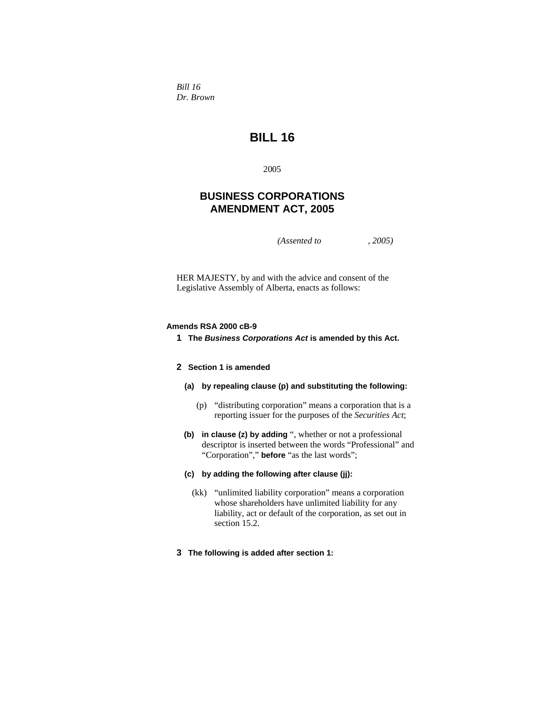*Bill 16 Dr. Brown* 

# **BILL 16**

2005

# **BUSINESS CORPORATIONS AMENDMENT ACT, 2005**

*(Assented to , 2005)* 

HER MAJESTY, by and with the advice and consent of the Legislative Assembly of Alberta, enacts as follows:

#### **Amends RSA 2000 cB-9**

**1 The** *Business Corporations Act* **is amended by this Act.** 

## **2 Section 1 is amended**

- **(a) by repealing clause (p) and substituting the following:**
	- (p) "distributing corporation" means a corporation that is a reporting issuer for the purposes of the *Securities Act*;
- **(b) in clause (z) by adding** ", whether or not a professional descriptor is inserted between the words "Professional" and "Corporation"," **before** "as the last words";

#### **(c) by adding the following after clause (jj):**

- (kk) "unlimited liability corporation" means a corporation whose shareholders have unlimited liability for any liability, act or default of the corporation, as set out in section 15.2.
- **3 The following is added after section 1:**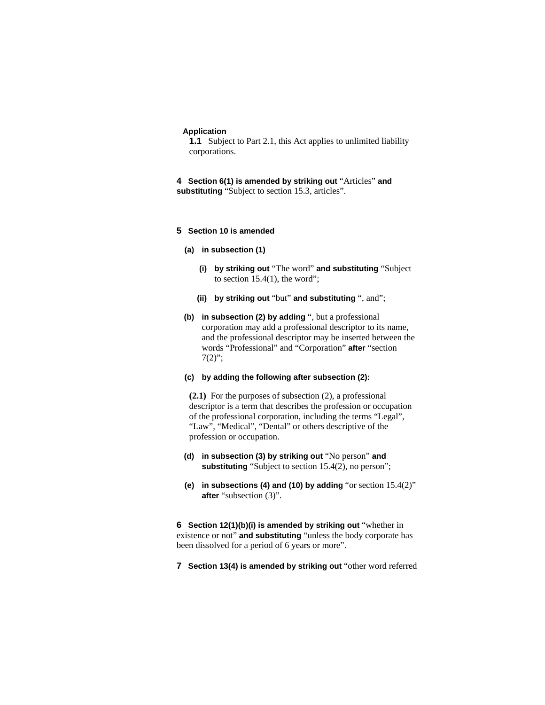#### **Application**

**1.1** Subject to Part 2.1, this Act applies to unlimited liability corporations.

**4 Section 6(1) is amended by striking out** "Articles" **and substituting** "Subject to section 15.3, articles".

## **5 Section 10 is amended**

- **(a) in subsection (1)**
	- **(i) by striking out** "The word" **and substituting** "Subject to section  $15.4(1)$ , the word";
	- **(ii) by striking out** "but" **and substituting** ", and";
- **(b) in subsection (2) by adding** ", but a professional corporation may add a professional descriptor to its name, and the professional descriptor may be inserted between the words "Professional" and "Corporation" **after** "section  $7(2)$ ";
- **(c) by adding the following after subsection (2):**

**(2.1)** For the purposes of subsection (2), a professional descriptor is a term that describes the profession or occupation of the professional corporation, including the terms "Legal", "Law", "Medical", "Dental" or others descriptive of the profession or occupation.

- **(d) in subsection (3) by striking out** "No person" **and**  substituting "Subject to section 15.4(2), no person";
- **(e) in subsections (4) and (10) by adding** "or section 15.4(2)" **after** "subsection (3)".

**6 Section 12(1)(b)(i) is amended by striking out** "whether in existence or not" **and substituting** "unless the body corporate has been dissolved for a period of 6 years or more".

**7 Section 13(4) is amended by striking out** "other word referred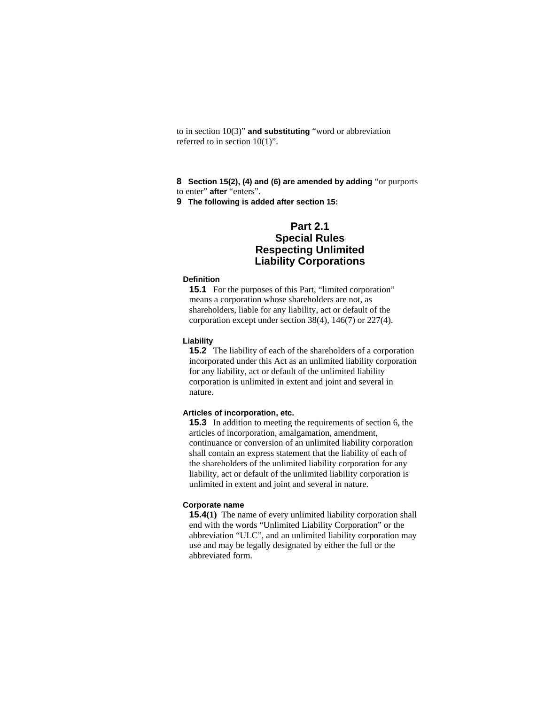to in section 10(3)" **and substituting** "word or abbreviation referred to in section 10(1)".

**8 Section 15(2), (4) and (6) are amended by adding** "or purports to enter" **after** "enters".

**9 The following is added after section 15:**

# **Part 2.1 Special Rules Respecting Unlimited Liability Corporations**

#### **Definition**

**15.1** For the purposes of this Part, "limited corporation" means a corporation whose shareholders are not, as shareholders, liable for any liability, act or default of the corporation except under section 38(4), 146(7) or 227(4).

## **Liability**

**15.2** The liability of each of the shareholders of a corporation incorporated under this Act as an unlimited liability corporation for any liability, act or default of the unlimited liability corporation is unlimited in extent and joint and several in nature.

## **Articles of incorporation, etc.**

**15.3** In addition to meeting the requirements of section 6, the articles of incorporation, amalgamation, amendment, continuance or conversion of an unlimited liability corporation shall contain an express statement that the liability of each of the shareholders of the unlimited liability corporation for any liability, act or default of the unlimited liability corporation is unlimited in extent and joint and several in nature.

## **Corporate name**

**15.4(1)** The name of every unlimited liability corporation shall end with the words "Unlimited Liability Corporation" or the abbreviation "ULC", and an unlimited liability corporation may use and may be legally designated by either the full or the abbreviated form.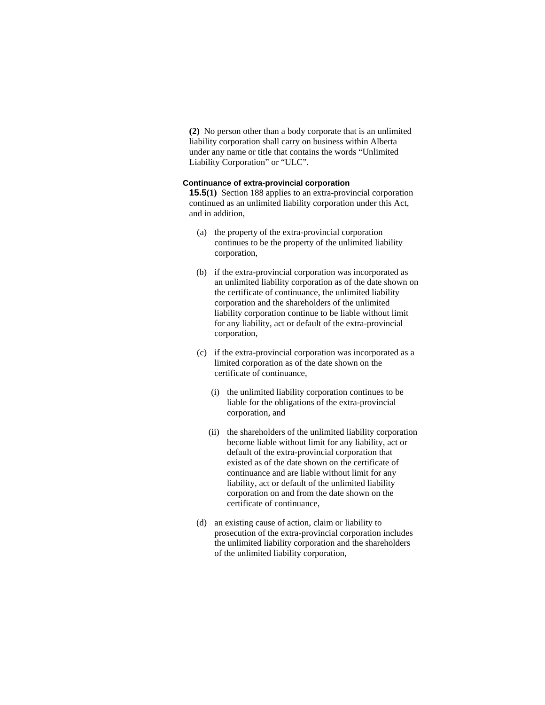**(2)** No person other than a body corporate that is an unlimited liability corporation shall carry on business within Alberta under any name or title that contains the words "Unlimited Liability Corporation" or "ULC".

## **Continuance of extra-provincial corporation**

**15.5(1)** Section 188 applies to an extra-provincial corporation continued as an unlimited liability corporation under this Act, and in addition,

- (a) the property of the extra-provincial corporation continues to be the property of the unlimited liability corporation,
- (b) if the extra-provincial corporation was incorporated as an unlimited liability corporation as of the date shown on the certificate of continuance, the unlimited liability corporation and the shareholders of the unlimited liability corporation continue to be liable without limit for any liability, act or default of the extra-provincial corporation,
- (c) if the extra-provincial corporation was incorporated as a limited corporation as of the date shown on the certificate of continuance,
	- (i) the unlimited liability corporation continues to be liable for the obligations of the extra-provincial corporation, and
	- (ii) the shareholders of the unlimited liability corporation become liable without limit for any liability, act or default of the extra-provincial corporation that existed as of the date shown on the certificate of continuance and are liable without limit for any liability, act or default of the unlimited liability corporation on and from the date shown on the certificate of continuance,
- (d) an existing cause of action, claim or liability to prosecution of the extra-provincial corporation includes the unlimited liability corporation and the shareholders of the unlimited liability corporation,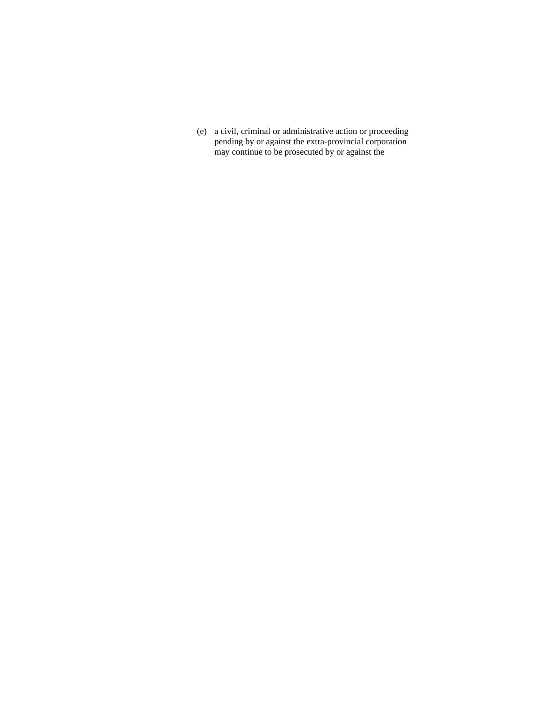(e) a civil, criminal or administrative action or proceeding pending by or against the extra-provincial corporation may continue to be prosecuted by or against the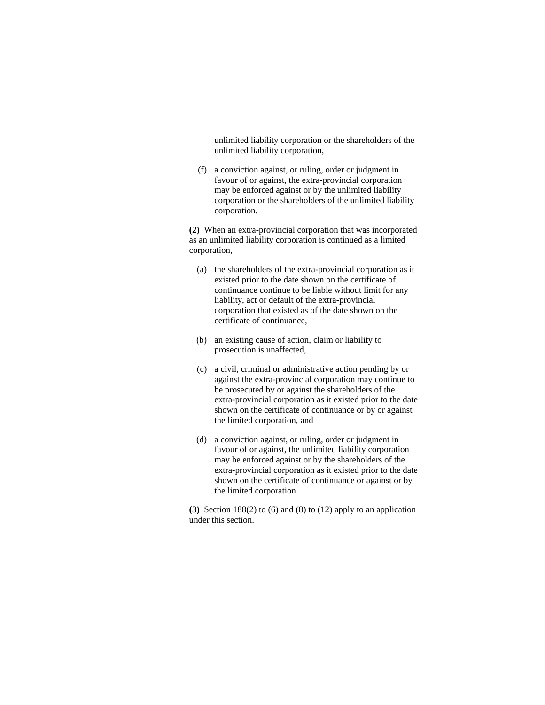unlimited liability corporation or the shareholders of the unlimited liability corporation,

 (f) a conviction against, or ruling, order or judgment in favour of or against, the extra-provincial corporation may be enforced against or by the unlimited liability corporation or the shareholders of the unlimited liability corporation.

**(2)** When an extra-provincial corporation that was incorporated as an unlimited liability corporation is continued as a limited corporation,

- (a) the shareholders of the extra-provincial corporation as it existed prior to the date shown on the certificate of continuance continue to be liable without limit for any liability, act or default of the extra-provincial corporation that existed as of the date shown on the certificate of continuance,
- (b) an existing cause of action, claim or liability to prosecution is unaffected,
- (c) a civil, criminal or administrative action pending by or against the extra-provincial corporation may continue to be prosecuted by or against the shareholders of the extra-provincial corporation as it existed prior to the date shown on the certificate of continuance or by or against the limited corporation, and
- (d) a conviction against, or ruling, order or judgment in favour of or against, the unlimited liability corporation may be enforced against or by the shareholders of the extra-provincial corporation as it existed prior to the date shown on the certificate of continuance or against or by the limited corporation.

**(3)** Section 188(2) to (6) and (8) to (12) apply to an application under this section.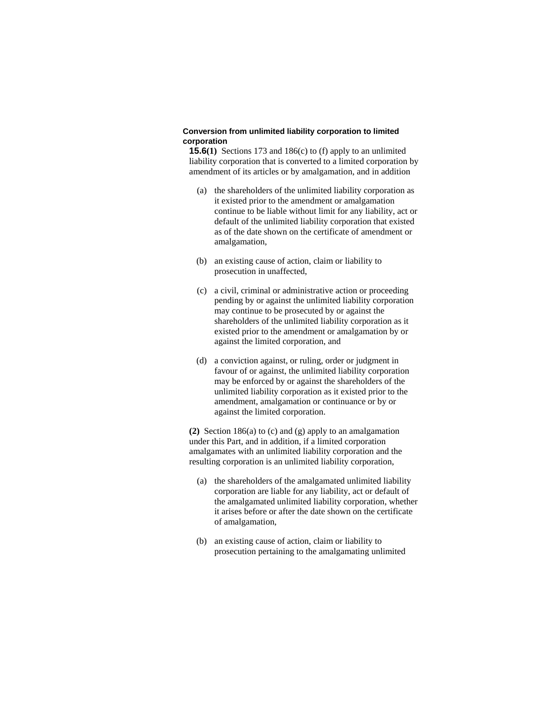## **Conversion from unlimited liability corporation to limited corporation**

**15.6(1)** Sections 173 and 186(c) to (f) apply to an unlimited liability corporation that is converted to a limited corporation by amendment of its articles or by amalgamation, and in addition

- (a) the shareholders of the unlimited liability corporation as it existed prior to the amendment or amalgamation continue to be liable without limit for any liability, act or default of the unlimited liability corporation that existed as of the date shown on the certificate of amendment or amalgamation,
- (b) an existing cause of action, claim or liability to prosecution in unaffected,
- (c) a civil, criminal or administrative action or proceeding pending by or against the unlimited liability corporation may continue to be prosecuted by or against the shareholders of the unlimited liability corporation as it existed prior to the amendment or amalgamation by or against the limited corporation, and
- (d) a conviction against, or ruling, order or judgment in favour of or against, the unlimited liability corporation may be enforced by or against the shareholders of the unlimited liability corporation as it existed prior to the amendment, amalgamation or continuance or by or against the limited corporation.

**(2)** Section 186(a) to (c) and (g) apply to an amalgamation under this Part, and in addition, if a limited corporation amalgamates with an unlimited liability corporation and the resulting corporation is an unlimited liability corporation,

- (a) the shareholders of the amalgamated unlimited liability corporation are liable for any liability, act or default of the amalgamated unlimited liability corporation, whether it arises before or after the date shown on the certificate of amalgamation,
- (b) an existing cause of action, claim or liability to prosecution pertaining to the amalgamating unlimited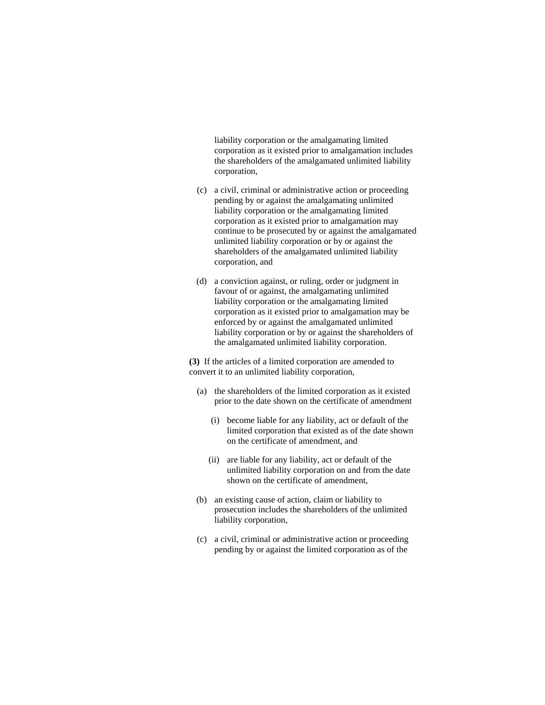liability corporation or the amalgamating limited corporation as it existed prior to amalgamation includes the shareholders of the amalgamated unlimited liability corporation,

- (c) a civil, criminal or administrative action or proceeding pending by or against the amalgamating unlimited liability corporation or the amalgamating limited corporation as it existed prior to amalgamation may continue to be prosecuted by or against the amalgamated unlimited liability corporation or by or against the shareholders of the amalgamated unlimited liability corporation, and
- (d) a conviction against, or ruling, order or judgment in favour of or against, the amalgamating unlimited liability corporation or the amalgamating limited corporation as it existed prior to amalgamation may be enforced by or against the amalgamated unlimited liability corporation or by or against the shareholders of the amalgamated unlimited liability corporation.

**(3)** If the articles of a limited corporation are amended to convert it to an unlimited liability corporation,

- (a) the shareholders of the limited corporation as it existed prior to the date shown on the certificate of amendment
	- (i) become liable for any liability, act or default of the limited corporation that existed as of the date shown on the certificate of amendment, and
	- (ii) are liable for any liability, act or default of the unlimited liability corporation on and from the date shown on the certificate of amendment,
- (b) an existing cause of action, claim or liability to prosecution includes the shareholders of the unlimited liability corporation,
- (c) a civil, criminal or administrative action or proceeding pending by or against the limited corporation as of the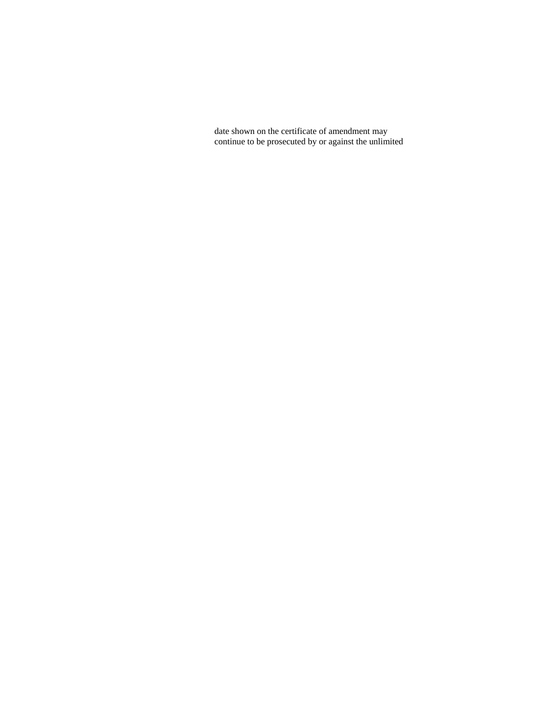date shown on the certificate of amendment may continue to be prosecuted by or against the unlimited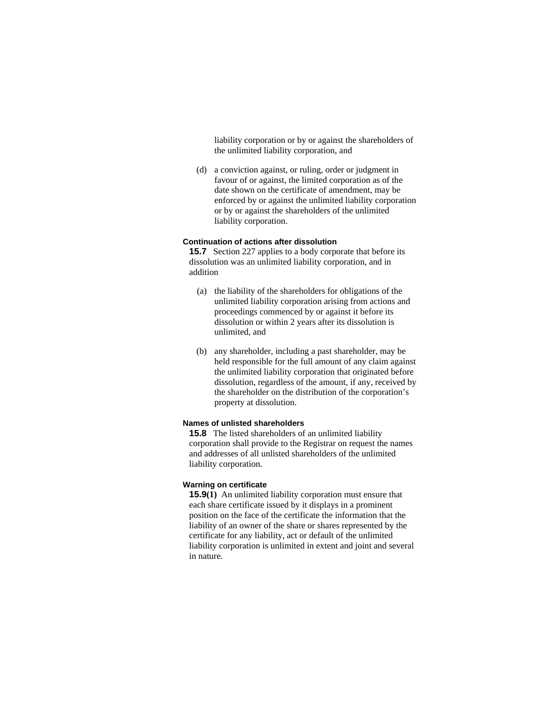liability corporation or by or against the shareholders of the unlimited liability corporation, and

 (d) a conviction against, or ruling, order or judgment in favour of or against, the limited corporation as of the date shown on the certificate of amendment, may be enforced by or against the unlimited liability corporation or by or against the shareholders of the unlimited liability corporation.

## **Continuation of actions after dissolution**

**15.7** Section 227 applies to a body corporate that before its dissolution was an unlimited liability corporation, and in addition

- (a) the liability of the shareholders for obligations of the unlimited liability corporation arising from actions and proceedings commenced by or against it before its dissolution or within 2 years after its dissolution is unlimited, and
- (b) any shareholder, including a past shareholder, may be held responsible for the full amount of any claim against the unlimited liability corporation that originated before dissolution, regardless of the amount, if any, received by the shareholder on the distribution of the corporation's property at dissolution.

#### **Names of unlisted shareholders**

**15.8** The listed shareholders of an unlimited liability corporation shall provide to the Registrar on request the names and addresses of all unlisted shareholders of the unlimited liability corporation.

# **Warning on certificate**

**15.9(1)** An unlimited liability corporation must ensure that each share certificate issued by it displays in a prominent position on the face of the certificate the information that the liability of an owner of the share or shares represented by the certificate for any liability, act or default of the unlimited liability corporation is unlimited in extent and joint and several in nature.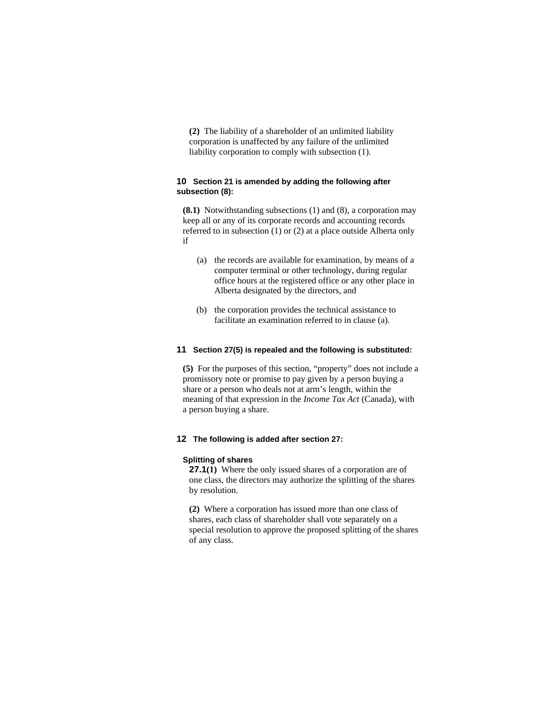**(2)** The liability of a shareholder of an unlimited liability corporation is unaffected by any failure of the unlimited liability corporation to comply with subsection (1).

# **10 Section 21 is amended by adding the following after subsection (8):**

**(8.1)** Notwithstanding subsections (1) and (8), a corporation may keep all or any of its corporate records and accounting records referred to in subsection (1) or (2) at a place outside Alberta only if

- (a) the records are available for examination, by means of a computer terminal or other technology, during regular office hours at the registered office or any other place in Alberta designated by the directors, and
- (b) the corporation provides the technical assistance to facilitate an examination referred to in clause (a).

#### **11 Section 27(5) is repealed and the following is substituted:**

**(5)** For the purposes of this section, "property" does not include a promissory note or promise to pay given by a person buying a share or a person who deals not at arm's length, within the meaning of that expression in the *Income Tax Act* (Canada), with a person buying a share.

#### **12 The following is added after section 27:**

#### **Splitting of shares**

**27.1(1)** Where the only issued shares of a corporation are of one class, the directors may authorize the splitting of the shares by resolution.

**(2)** Where a corporation has issued more than one class of shares, each class of shareholder shall vote separately on a special resolution to approve the proposed splitting of the shares of any class.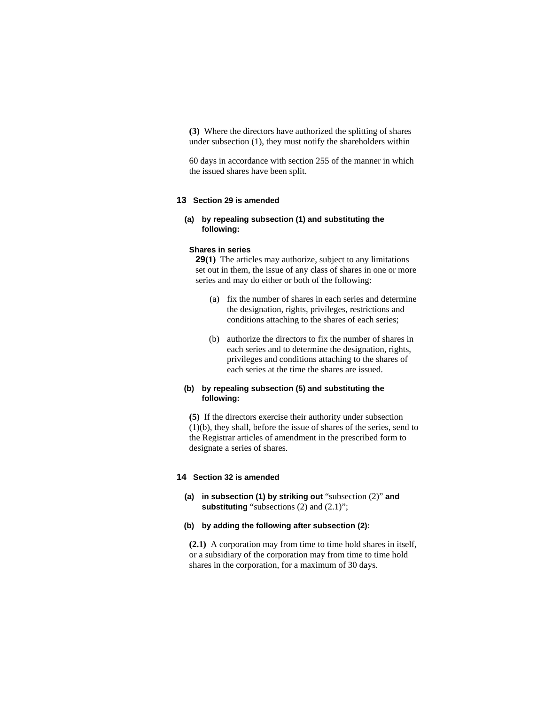**(3)** Where the directors have authorized the splitting of shares under subsection (1), they must notify the shareholders within

60 days in accordance with section 255 of the manner in which the issued shares have been split.

## **13 Section 29 is amended**

# **(a) by repealing subsection (1) and substituting the following:**

## **Shares in series**

**29(1)** The articles may authorize, subject to any limitations set out in them, the issue of any class of shares in one or more series and may do either or both of the following:

- (a) fix the number of shares in each series and determine the designation, rights, privileges, restrictions and conditions attaching to the shares of each series;
- (b) authorize the directors to fix the number of shares in each series and to determine the designation, rights, privileges and conditions attaching to the shares of each series at the time the shares are issued.

# **(b) by repealing subsection (5) and substituting the following:**

**(5)** If the directors exercise their authority under subsection (1)(b), they shall, before the issue of shares of the series, send to the Registrar articles of amendment in the prescribed form to designate a series of shares.

## **14 Section 32 is amended**

**(a) in subsection (1) by striking out** "subsection (2)" **and substituting** "subsections (2) and (2.1)";

## **(b) by adding the following after subsection (2):**

**(2.1)** A corporation may from time to time hold shares in itself, or a subsidiary of the corporation may from time to time hold shares in the corporation, for a maximum of 30 days.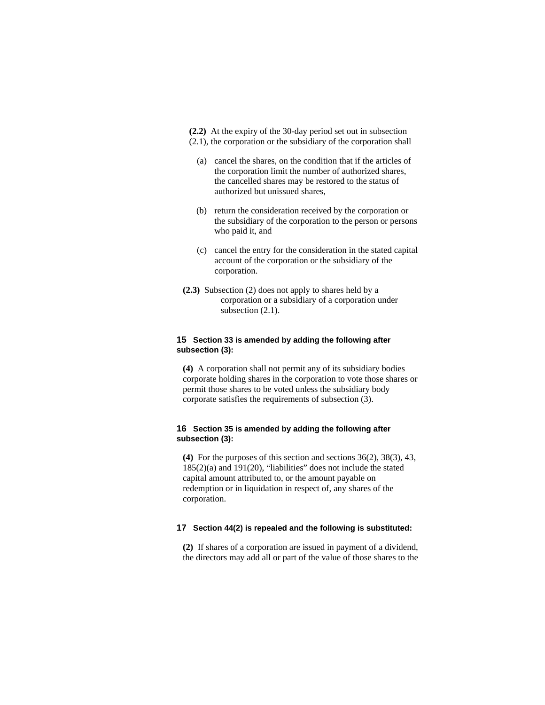**(2.2)** At the expiry of the 30-day period set out in subsection

- (2.1), the corporation or the subsidiary of the corporation shall
	- (a) cancel the shares, on the condition that if the articles of the corporation limit the number of authorized shares, the cancelled shares may be restored to the status of authorized but unissued shares,
	- (b) return the consideration received by the corporation or the subsidiary of the corporation to the person or persons who paid it, and
	- (c) cancel the entry for the consideration in the stated capital account of the corporation or the subsidiary of the corporation.
- **(2.3)** Subsection (2) does not apply to shares held by a corporation or a subsidiary of a corporation under subsection  $(2.1)$ .

# **15 Section 33 is amended by adding the following after subsection (3):**

**(4)** A corporation shall not permit any of its subsidiary bodies corporate holding shares in the corporation to vote those shares or permit those shares to be voted unless the subsidiary body corporate satisfies the requirements of subsection (3).

# **16 Section 35 is amended by adding the following after subsection (3):**

**(4)** For the purposes of this section and sections 36(2), 38(3), 43, 185(2)(a) and 191(20), "liabilities" does not include the stated capital amount attributed to, or the amount payable on redemption or in liquidation in respect of, any shares of the corporation.

# **17 Section 44(2) is repealed and the following is substituted:**

**(2)** If shares of a corporation are issued in payment of a dividend, the directors may add all or part of the value of those shares to the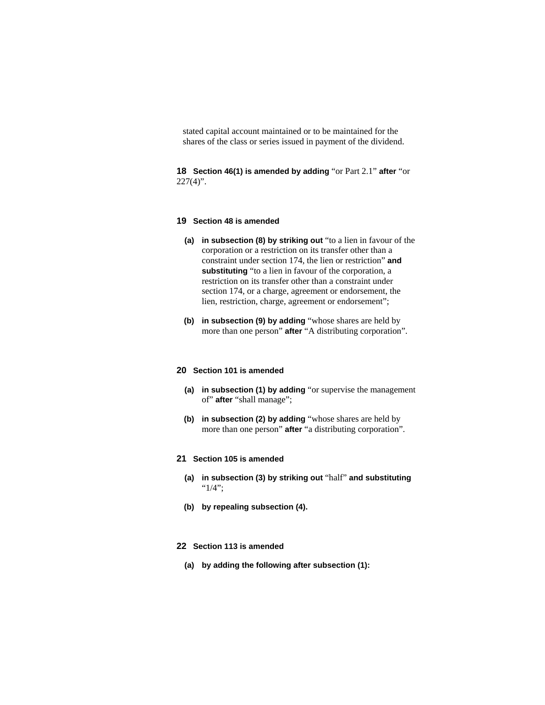stated capital account maintained or to be maintained for the shares of the class or series issued in payment of the dividend.

**18 Section 46(1) is amended by adding** "or Part 2.1" **after** "or  $227(4)$ ".

## **19 Section 48 is amended**

- **(a) in subsection (8) by striking out** "to a lien in favour of the corporation or a restriction on its transfer other than a constraint under section 174, the lien or restriction" **and substituting** "to a lien in favour of the corporation, a restriction on its transfer other than a constraint under section 174, or a charge, agreement or endorsement, the lien, restriction, charge, agreement or endorsement";
- **(b) in subsection (9) by adding** "whose shares are held by more than one person" **after** "A distributing corporation".

## **20 Section 101 is amended**

- **(a) in subsection (1) by adding** "or supervise the management of" **after** "shall manage";
- **(b) in subsection (2) by adding** "whose shares are held by more than one person" **after** "a distributing corporation".

#### **21 Section 105 is amended**

- **(a) in subsection (3) by striking out** "half" **and substituting**  "1/4";
- **(b) by repealing subsection (4).**
- **22 Section 113 is amended**
	- **(a) by adding the following after subsection (1):**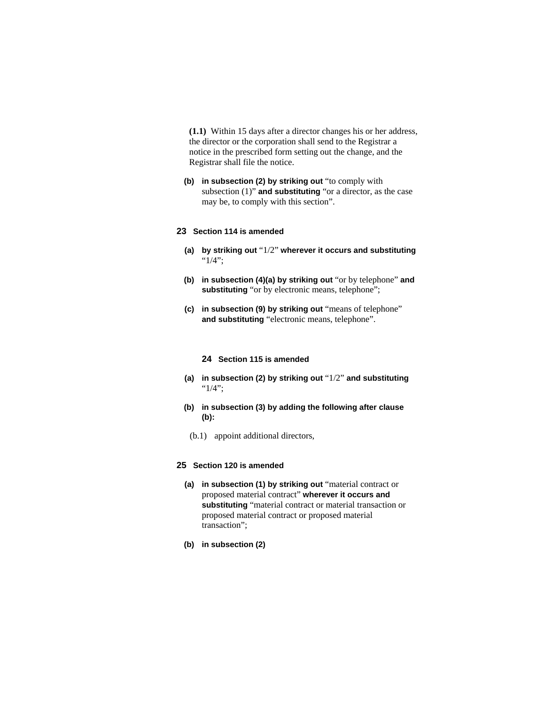**(1.1)** Within 15 days after a director changes his or her address, the director or the corporation shall send to the Registrar a notice in the prescribed form setting out the change, and the Registrar shall file the notice.

**(b) in subsection (2) by striking out** "to comply with subsection (1)" **and substituting** "or a director, as the case may be, to comply with this section".

# **23 Section 114 is amended**

- **(a) by striking out** "1/2" **wherever it occurs and substituting**  "1/4";
- **(b) in subsection (4)(a) by striking out** "or by telephone" **and**  substituting "or by electronic means, telephone";
- **(c) in subsection (9) by striking out** "means of telephone" **and substituting** "electronic means, telephone".

## **24 Section 115 is amended**

- **(a) in subsection (2) by striking out** "1/2" **and substituting**  "1/4";
- **(b) in subsection (3) by adding the following after clause (b):**
	- (b.1) appoint additional directors,

## **25 Section 120 is amended**

- **(a) in subsection (1) by striking out** "material contract or proposed material contract" **wherever it occurs and substituting** "material contract or material transaction or proposed material contract or proposed material transaction";
- **(b) in subsection (2)**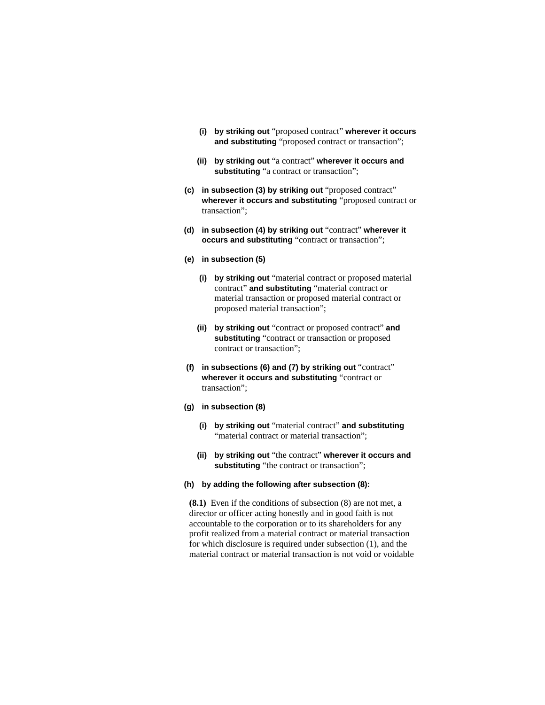- **(i) by striking out** "proposed contract" **wherever it occurs and substituting** "proposed contract or transaction";
- **(ii) by striking out** "a contract" **wherever it occurs and substituting** "a contract or transaction";
- **(c) in subsection (3) by striking out** "proposed contract" **wherever it occurs and substituting** "proposed contract or transaction";
- **(d) in subsection (4) by striking out** "contract" **wherever it occurs and substituting** "contract or transaction";
- **(e) in subsection (5)**
	- **(i) by striking out** "material contract or proposed material contract" **and substituting** "material contract or material transaction or proposed material contract or proposed material transaction";
	- **(ii) by striking out** "contract or proposed contract" **and substituting** "contract or transaction or proposed contract or transaction";
- **(f) in subsections (6) and (7) by striking out** "contract" **wherever it occurs and substituting** "contract or transaction";
- **(g) in subsection (8)**
	- **(i) by striking out** "material contract" **and substituting**  "material contract or material transaction";
	- **(ii) by striking out** "the contract" **wherever it occurs and substituting** "the contract or transaction";
- **(h) by adding the following after subsection (8):**

**(8.1)** Even if the conditions of subsection (8) are not met, a director or officer acting honestly and in good faith is not accountable to the corporation or to its shareholders for any profit realized from a material contract or material transaction for which disclosure is required under subsection (1), and the material contract or material transaction is not void or voidable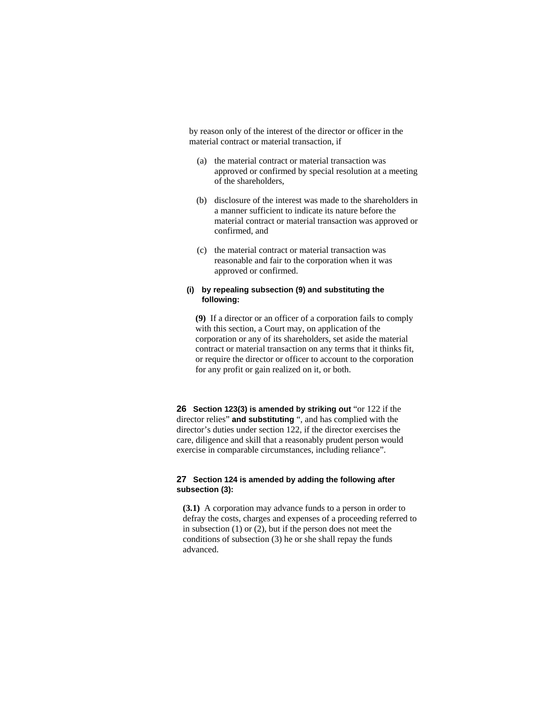by reason only of the interest of the director or officer in the material contract or material transaction, if

- (a) the material contract or material transaction was approved or confirmed by special resolution at a meeting of the shareholders,
- (b) disclosure of the interest was made to the shareholders in a manner sufficient to indicate its nature before the material contract or material transaction was approved or confirmed, and
- (c) the material contract or material transaction was reasonable and fair to the corporation when it was approved or confirmed.

# **(i) by repealing subsection (9) and substituting the following:**

**(9)** If a director or an officer of a corporation fails to comply with this section, a Court may, on application of the corporation or any of its shareholders, set aside the material contract or material transaction on any terms that it thinks fit, or require the director or officer to account to the corporation for any profit or gain realized on it, or both.

**26 Section 123(3) is amended by striking out** "or 122 if the director relies" **and substituting** ", and has complied with the director's duties under section 122, if the director exercises the care, diligence and skill that a reasonably prudent person would exercise in comparable circumstances, including reliance".

# **27 Section 124 is amended by adding the following after subsection (3):**

**(3.1)** A corporation may advance funds to a person in order to defray the costs, charges and expenses of a proceeding referred to in subsection (1) or (2), but if the person does not meet the conditions of subsection (3) he or she shall repay the funds advanced.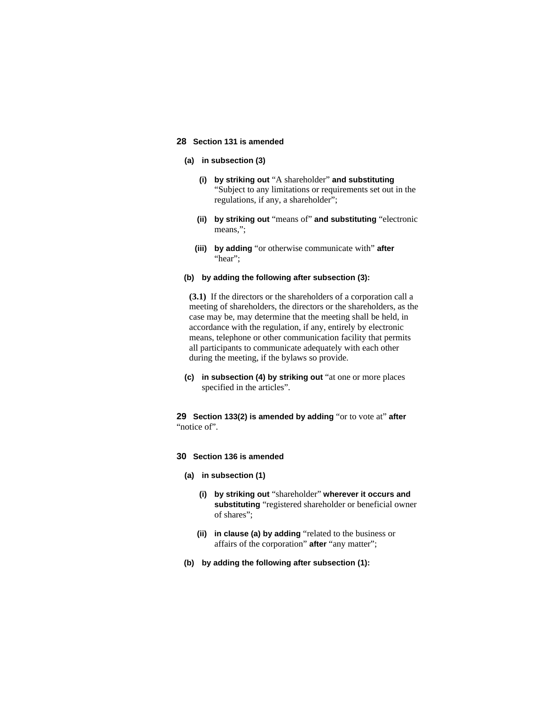# **28 Section 131 is amended**

# **(a) in subsection (3)**

- **(i) by striking out** "A shareholder" **and substituting**  "Subject to any limitations or requirements set out in the regulations, if any, a shareholder";
- **(ii) by striking out** "means of" **and substituting** "electronic means,";
- **(iii) by adding** "or otherwise communicate with" **after**  "hear";

#### **(b) by adding the following after subsection (3):**

**(3.1)** If the directors or the shareholders of a corporation call a meeting of shareholders, the directors or the shareholders, as the case may be, may determine that the meeting shall be held, in accordance with the regulation, if any, entirely by electronic means, telephone or other communication facility that permits all participants to communicate adequately with each other during the meeting, if the bylaws so provide.

**(c) in subsection (4) by striking out** "at one or more places specified in the articles".

**29 Section 133(2) is amended by adding** "or to vote at" **after**  "notice of".

# **30 Section 136 is amended**

- **(a) in subsection (1)**
	- **(i) by striking out** "shareholder" **wherever it occurs and substituting** "registered shareholder or beneficial owner of shares";
	- **(ii) in clause (a) by adding** "related to the business or affairs of the corporation" **after** "any matter";
- **(b) by adding the following after subsection (1):**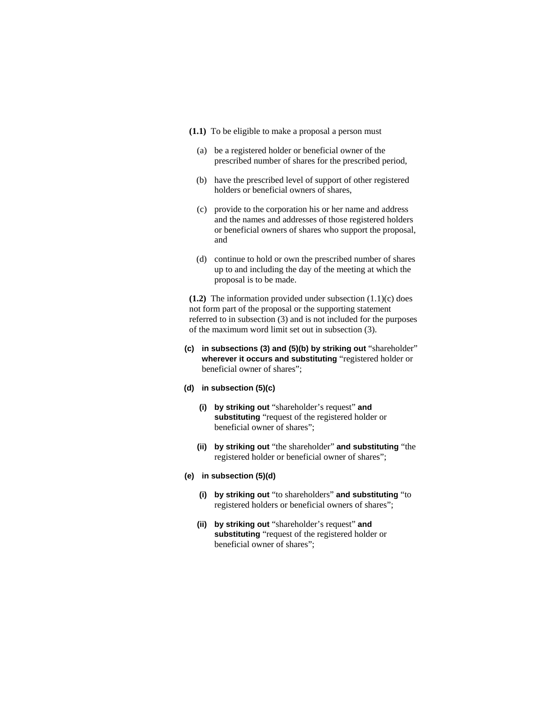- **(1.1)** To be eligible to make a proposal a person must
	- (a) be a registered holder or beneficial owner of the prescribed number of shares for the prescribed period,
	- (b) have the prescribed level of support of other registered holders or beneficial owners of shares,
	- (c) provide to the corporation his or her name and address and the names and addresses of those registered holders or beneficial owners of shares who support the proposal, and
	- (d) continue to hold or own the prescribed number of shares up to and including the day of the meeting at which the proposal is to be made.

**(1.2)** The information provided under subsection (1.1)(c) does not form part of the proposal or the supporting statement referred to in subsection (3) and is not included for the purposes of the maximum word limit set out in subsection (3).

- **(c) in subsections (3) and (5)(b) by striking out** "shareholder" **wherever it occurs and substituting** "registered holder or beneficial owner of shares";
- **(d) in subsection (5)(c)**
	- **(i) by striking out** "shareholder's request" **and substituting** "request of the registered holder or beneficial owner of shares";
	- **(ii) by striking out** "the shareholder" **and substituting** "the registered holder or beneficial owner of shares";
- **(e) in subsection (5)(d)**
	- **(i) by striking out** "to shareholders" **and substituting** "to registered holders or beneficial owners of shares";
	- **(ii) by striking out** "shareholder's request" **and substituting** "request of the registered holder or beneficial owner of shares";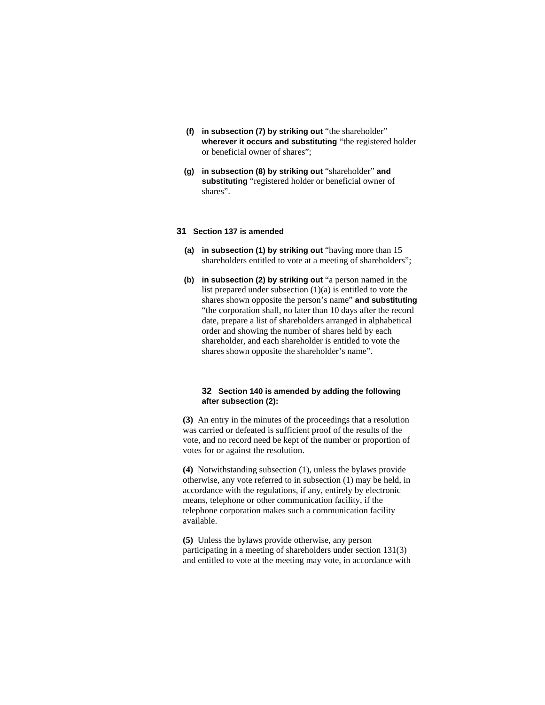- **(f) in subsection (7) by striking out** "the shareholder" **wherever it occurs and substituting** "the registered holder or beneficial owner of shares";
- **(g) in subsection (8) by striking out** "shareholder" **and substituting** "registered holder or beneficial owner of shares".

## **31 Section 137 is amended**

- **(a) in subsection (1) by striking out** "having more than 15 shareholders entitled to vote at a meeting of shareholders";
- **(b) in subsection (2) by striking out** "a person named in the list prepared under subsection (1)(a) is entitled to vote the shares shown opposite the person's name" **and substituting**  "the corporation shall, no later than 10 days after the record date, prepare a list of shareholders arranged in alphabetical order and showing the number of shares held by each shareholder, and each shareholder is entitled to vote the shares shown opposite the shareholder's name".

# **32 Section 140 is amended by adding the following after subsection (2):**

**(3)** An entry in the minutes of the proceedings that a resolution was carried or defeated is sufficient proof of the results of the vote, and no record need be kept of the number or proportion of votes for or against the resolution.

**(4)** Notwithstanding subsection (1), unless the bylaws provide otherwise, any vote referred to in subsection (1) may be held, in accordance with the regulations, if any, entirely by electronic means, telephone or other communication facility, if the telephone corporation makes such a communication facility available.

**(5)** Unless the bylaws provide otherwise, any person participating in a meeting of shareholders under section 131(3) and entitled to vote at the meeting may vote, in accordance with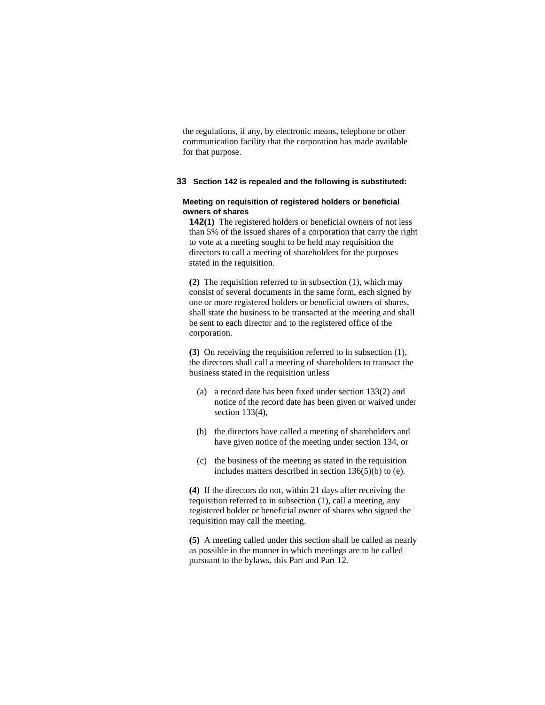the regulations, if any, by electronic means, telephone or other communication facility that the corporation has made available for that purpose.

# **33 Section 142 is repealed and the following is substituted:**

## **Meeting on requisition of registered holders or beneficial owners of shares**

**142(1)** The registered holders or beneficial owners of not less than 5% of the issued shares of a corporation that carry the right to vote at a meeting sought to be held may requisition the directors to call a meeting of shareholders for the purposes stated in the requisition.

**(2)** The requisition referred to in subsection (1), which may consist of several documents in the same form, each signed by one or more registered holders or beneficial owners of shares, shall state the business to be transacted at the meeting and shall be sent to each director and to the registered office of the corporation.

**(3)** On receiving the requisition referred to in subsection (1), the directors shall call a meeting of shareholders to transact the business stated in the requisition unless

- (a) a record date has been fixed under section 133(2) and notice of the record date has been given or waived under section 133(4),
- (b) the directors have called a meeting of shareholders and have given notice of the meeting under section 134, or
- (c) the business of the meeting as stated in the requisition includes matters described in section  $136(5)(b)$  to (e).

**(4)** If the directors do not, within 21 days after receiving the requisition referred to in subsection (1), call a meeting, any registered holder or beneficial owner of shares who signed the requisition may call the meeting.

**(5)** A meeting called under this section shall be called as nearly as possible in the manner in which meetings are to be called pursuant to the bylaws, this Part and Part 12.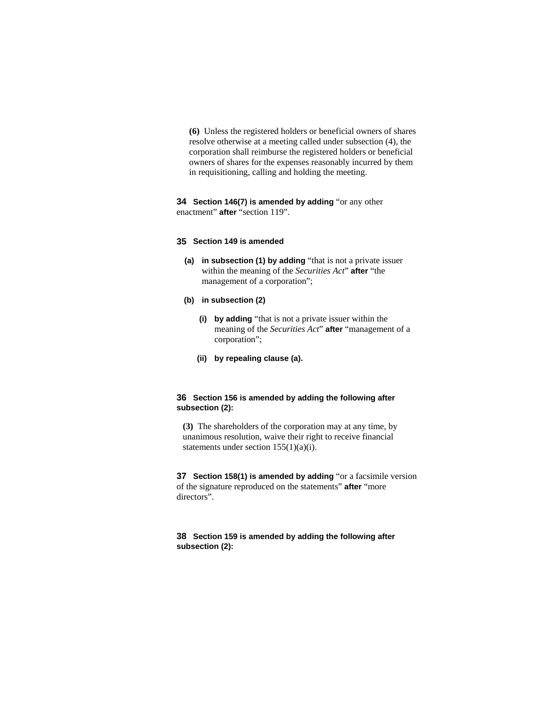**(6)** Unless the registered holders or beneficial owners of shares resolve otherwise at a meeting called under subsection (4), the corporation shall reimburse the registered holders or beneficial owners of shares for the expenses reasonably incurred by them in requisitioning, calling and holding the meeting.

# **34 Section 146(7) is amended by adding** "or any other enactment" **after** "section 119".

#### **35 Section 149 is amended**

- **(a) in subsection (1) by adding** "that is not a private issuer within the meaning of the *Securities Act*" **after** "the management of a corporation";
- **(b) in subsection (2)**
	- **(i) by adding** "that is not a private issuer within the meaning of the *Securities Act*" **after** "management of a corporation";
	- **(ii) by repealing clause (a).**

# **36 Section 156 is amended by adding the following after subsection (2):**

**(3)** The shareholders of the corporation may at any time, by unanimous resolution, waive their right to receive financial statements under section 155(1)(a)(i).

**37 Section 158(1) is amended by adding** "or a facsimile version of the signature reproduced on the statements" **after** "more directors".

# **38 Section 159 is amended by adding the following after subsection (2):**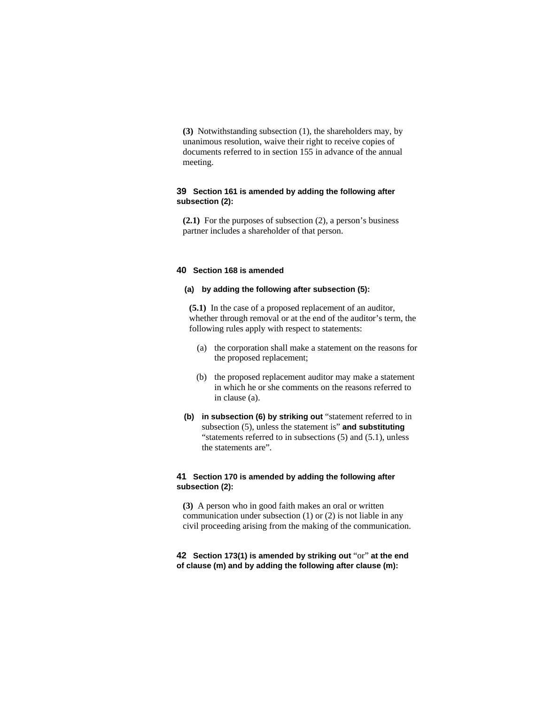**(3)** Notwithstanding subsection (1), the shareholders may, by unanimous resolution, waive their right to receive copies of documents referred to in section 155 in advance of the annual meeting.

# **39 Section 161 is amended by adding the following after subsection (2):**

**(2.1)** For the purposes of subsection (2), a person's business partner includes a shareholder of that person.

#### **40 Section 168 is amended**

# **(a) by adding the following after subsection (5):**

**(5.1)** In the case of a proposed replacement of an auditor, whether through removal or at the end of the auditor's term, the following rules apply with respect to statements:

- (a) the corporation shall make a statement on the reasons for the proposed replacement;
- (b) the proposed replacement auditor may make a statement in which he or she comments on the reasons referred to in clause (a).
- **(b) in subsection (6) by striking out** "statement referred to in subsection (5), unless the statement is" **and substituting**  "statements referred to in subsections  $(5)$  and  $(5.1)$ , unless the statements are".

# **41 Section 170 is amended by adding the following after subsection (2):**

**(3)** A person who in good faith makes an oral or written communication under subsection (1) or (2) is not liable in any civil proceeding arising from the making of the communication.

# **42 Section 173(1) is amended by striking out** "or" **at the end of clause (m) and by adding the following after clause (m):**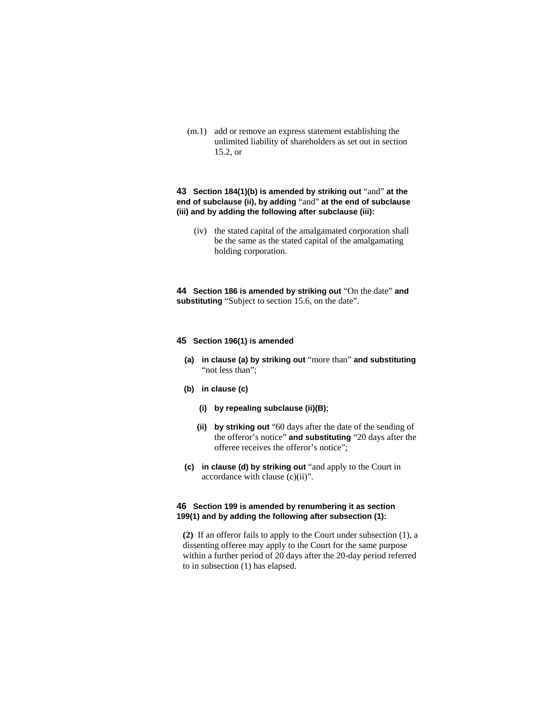(m.1) add or remove an express statement establishing the unlimited liability of shareholders as set out in section 15.2, or

# **43 Section 184(1)(b) is amended by striking out** "and" **at the end of subclause (ii), by adding** "and" **at the end of subclause (iii) and by adding the following after subclause (iii):**

 (iv) the stated capital of the amalgamated corporation shall be the same as the stated capital of the amalgamating holding corporation.

**44 Section 186 is amended by striking out** "On the date" **and substituting** "Subject to section 15.6, on the date".

#### **45 Section 196(1) is amended**

- **(a) in clause (a) by striking out** "more than" **and substituting**  "not less than";
- **(b) in clause (c)** 
	- **(i) by repealing subclause (ii)(B)**;
	- **(ii) by striking out** "60 days after the date of the sending of the offeror's notice" **and substituting** "20 days after the offeree receives the offeror's notice";
- **(c) in clause (d) by striking out** "and apply to the Court in accordance with clause (c)(ii)".

# **46 Section 199 is amended by renumbering it as section 199(1) and by adding the following after subsection (1):**

**(2)** If an offeror fails to apply to the Court under subsection (1), a dissenting offeree may apply to the Court for the same purpose within a further period of 20 days after the 20-day period referred to in subsection (1) has elapsed.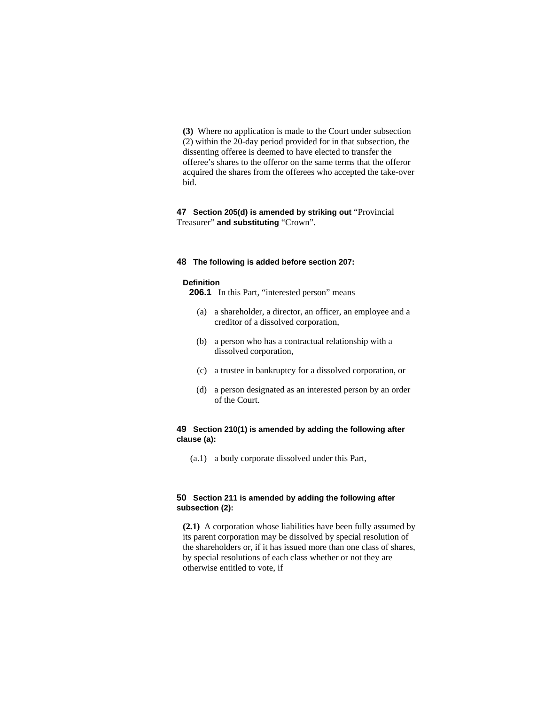**(3)** Where no application is made to the Court under subsection (2) within the 20-day period provided for in that subsection, the dissenting offeree is deemed to have elected to transfer the offeree's shares to the offeror on the same terms that the offeror acquired the shares from the offerees who accepted the take-over bid.

# **47 Section 205(d) is amended by striking out** "Provincial Treasurer" **and substituting** "Crown".

#### **48 The following is added before section 207:**

#### **Definition**

**206.1** In this Part, "interested person" means

- (a) a shareholder, a director, an officer, an employee and a creditor of a dissolved corporation,
- (b) a person who has a contractual relationship with a dissolved corporation,
- (c) a trustee in bankruptcy for a dissolved corporation, or
- (d) a person designated as an interested person by an order of the Court.

## **49 Section 210(1) is amended by adding the following after clause (a):**

(a.1) a body corporate dissolved under this Part,

## **50 Section 211 is amended by adding the following after subsection (2):**

**(2.1)** A corporation whose liabilities have been fully assumed by its parent corporation may be dissolved by special resolution of the shareholders or, if it has issued more than one class of shares, by special resolutions of each class whether or not they are otherwise entitled to vote, if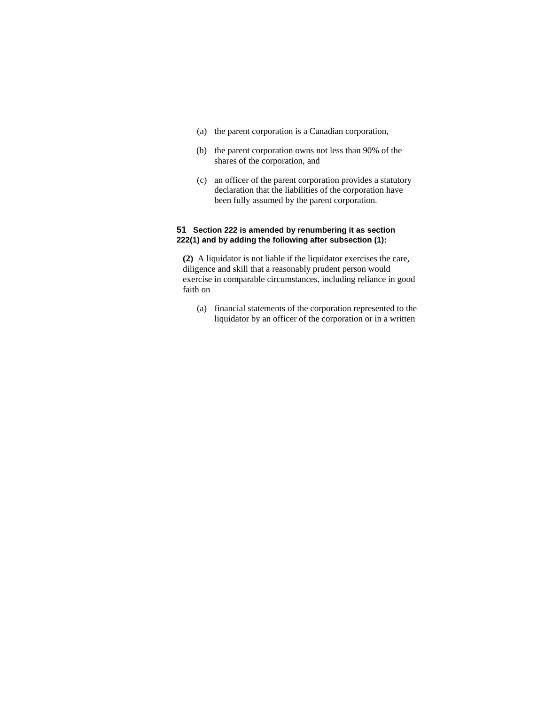- (a) the parent corporation is a Canadian corporation,
- (b) the parent corporation owns not less than 90% of the shares of the corporation, and
- (c) an officer of the parent corporation provides a statutory declaration that the liabilities of the corporation have been fully assumed by the parent corporation.

# **51 Section 222 is amended by renumbering it as section 222(1) and by adding the following after subsection (1):**

**(2)** A liquidator is not liable if the liquidator exercises the care, diligence and skill that a reasonably prudent person would exercise in comparable circumstances, including reliance in good faith on

 (a) financial statements of the corporation represented to the liquidator by an officer of the corporation or in a written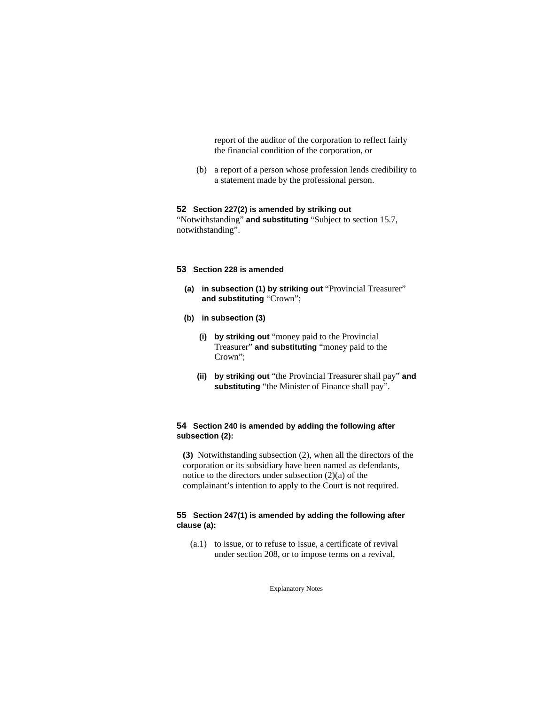report of the auditor of the corporation to reflect fairly the financial condition of the corporation, or

 (b) a report of a person whose profession lends credibility to a statement made by the professional person.

#### **52 Section 227(2) is amended by striking out**

"Notwithstanding" **and substituting** "Subject to section 15.7, notwithstanding".

# **53 Section 228 is amended**

- **(a) in subsection (1) by striking out** "Provincial Treasurer" **and substituting** "Crown";
- **(b) in subsection (3)** 
	- **(i) by striking out** "money paid to the Provincial Treasurer" **and substituting** "money paid to the Crown";
	- **(ii) by striking out** "the Provincial Treasurer shall pay" **and substituting** "the Minister of Finance shall pay".

# **54 Section 240 is amended by adding the following after subsection (2):**

**(3)** Notwithstanding subsection (2), when all the directors of the corporation or its subsidiary have been named as defendants, notice to the directors under subsection (2)(a) of the complainant's intention to apply to the Court is not required.

# **55 Section 247(1) is amended by adding the following after clause (a):**

 (a.1) to issue, or to refuse to issue, a certificate of revival under section 208, or to impose terms on a revival,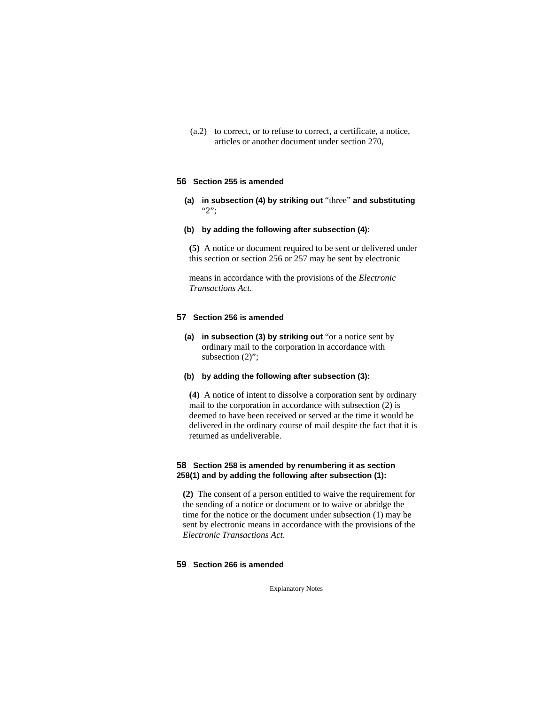(a.2) to correct, or to refuse to correct, a certificate, a notice, articles or another document under section 270,

## **56 Section 255 is amended**

**(a) in subsection (4) by striking out** "three" **and substituting**  "2";

#### **(b) by adding the following after subsection (4):**

**(5)** A notice or document required to be sent or delivered under this section or section 256 or 257 may be sent by electronic

means in accordance with the provisions of the *Electronic Transactions Act*.

## **57 Section 256 is amended**

**(a) in subsection (3) by striking out** "or a notice sent by ordinary mail to the corporation in accordance with subsection  $(2)$ ";

# **(b) by adding the following after subsection (3):**

**(4)** A notice of intent to dissolve a corporation sent by ordinary mail to the corporation in accordance with subsection (2) is deemed to have been received or served at the time it would be delivered in the ordinary course of mail despite the fact that it is returned as undeliverable.

# **58 Section 258 is amended by renumbering it as section 258(1) and by adding the following after subsection (1):**

**(2)** The consent of a person entitled to waive the requirement for the sending of a notice or document or to waive or abridge the time for the notice or the document under subsection (1) may be sent by electronic means in accordance with the provisions of the *Electronic Transactions Act*.

## **59 Section 266 is amended**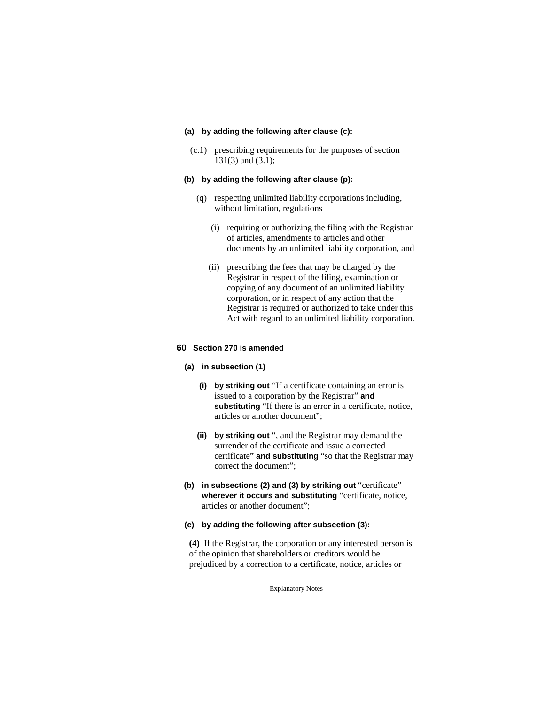#### **(a) by adding the following after clause (c):**

 (c.1) prescribing requirements for the purposes of section 131(3) and (3.1);

# **(b) by adding the following after clause (p):**

- (q) respecting unlimited liability corporations including, without limitation, regulations
	- (i) requiring or authorizing the filing with the Registrar of articles, amendments to articles and other documents by an unlimited liability corporation, and
	- (ii) prescribing the fees that may be charged by the Registrar in respect of the filing, examination or copying of any document of an unlimited liability corporation, or in respect of any action that the Registrar is required or authorized to take under this Act with regard to an unlimited liability corporation.

## **60 Section 270 is amended**

## **(a) in subsection (1)**

- **(i) by striking out** "If a certificate containing an error is issued to a corporation by the Registrar" **and substituting** "If there is an error in a certificate, notice, articles or another document";
- **(ii) by striking out** ", and the Registrar may demand the surrender of the certificate and issue a corrected certificate" **and substituting** "so that the Registrar may correct the document";
- **(b) in subsections (2) and (3) by striking out** "certificate" **wherever it occurs and substituting** "certificate, notice, articles or another document";
- **(c) by adding the following after subsection (3):**

**(4)** If the Registrar, the corporation or any interested person is of the opinion that shareholders or creditors would be prejudiced by a correction to a certificate, notice, articles or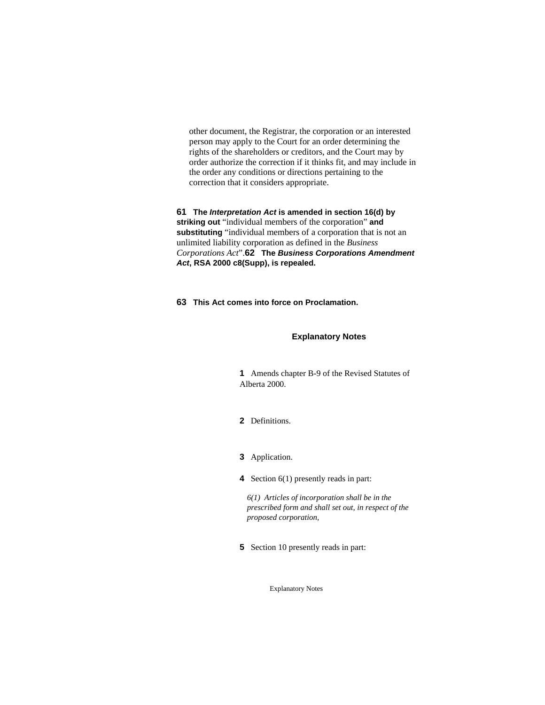other document, the Registrar, the corporation or an interested person may apply to the Court for an order determining the rights of the shareholders or creditors, and the Court may by order authorize the correction if it thinks fit, and may include in the order any conditions or directions pertaining to the correction that it considers appropriate.

**61 The** *Interpretation Act* **is amended in section 16(d) by striking out** "individual members of the corporation" **and substituting** "individual members of a corporation that is not an unlimited liability corporation as defined in the *Business Corporations Act*".**62 The** *Business Corporations Amendment Act***, RSA 2000 c8(Supp), is repealed.**

**63 This Act comes into force on Proclamation.** 

## **Explanatory Notes**

**1** Amends chapter B-9 of the Revised Statutes of Alberta 2000.

- **2** Definitions.
- **3** Application.
- **4** Section 6(1) presently reads in part:

*6(1) Articles of incorporation shall be in the prescribed form and shall set out, in respect of the proposed corporation,* 

**5** Section 10 presently reads in part: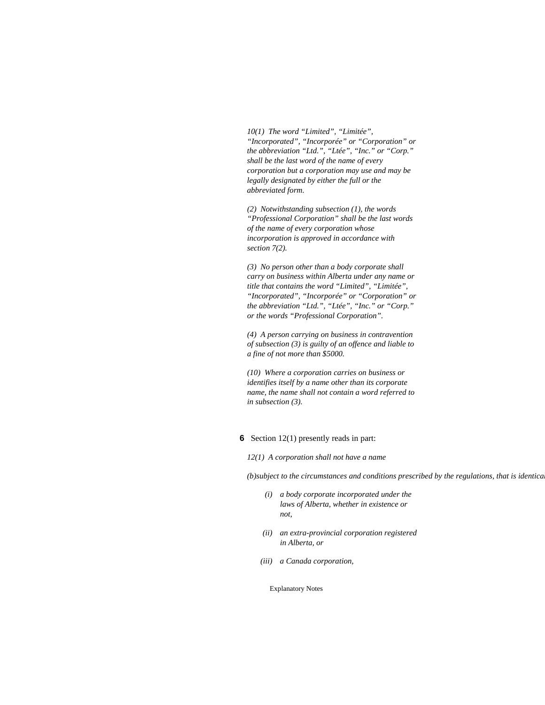*10(1) The word "Limited", "Limitée", "Incorporated", "Incorporée" or "Corporation" or the abbreviation "Ltd.", "Ltée", "Inc." or "Corp." shall be the last word of the name of every corporation but a corporation may use and may be legally designated by either the full or the abbreviated form.* 

*(2) Notwithstanding subsection (1), the words "Professional Corporation" shall be the last words of the name of every corporation whose incorporation is approved in accordance with section 7(2).* 

*(3) No person other than a body corporate shall carry on business within Alberta under any name or title that contains the word "Limited", "Limitée", "Incorporated", "Incorporée" or "Corporation" or the abbreviation "Ltd.", "Ltée", "Inc." or "Corp." or the words "Professional Corporation".* 

*(4) A person carrying on business in contravention of subsection (3) is guilty of an offence and liable to a fine of not more than \$5000.* 

*(10) Where a corporation carries on business or identifies itself by a name other than its corporate name, the name shall not contain a word referred to in subsection (3).* 

#### **6** Section 12(1) presently reads in part:

*12(1) A corporation shall not have a name* 

*(b)subject to the circumstances and conditions prescribed by the regulations, that is identical*

- *(i) a body corporate incorporated under the laws of Alberta, whether in existence or not,*
- *(ii) an extra-provincial corporation registered in Alberta, or*
- *(iii) a Canada corporation,*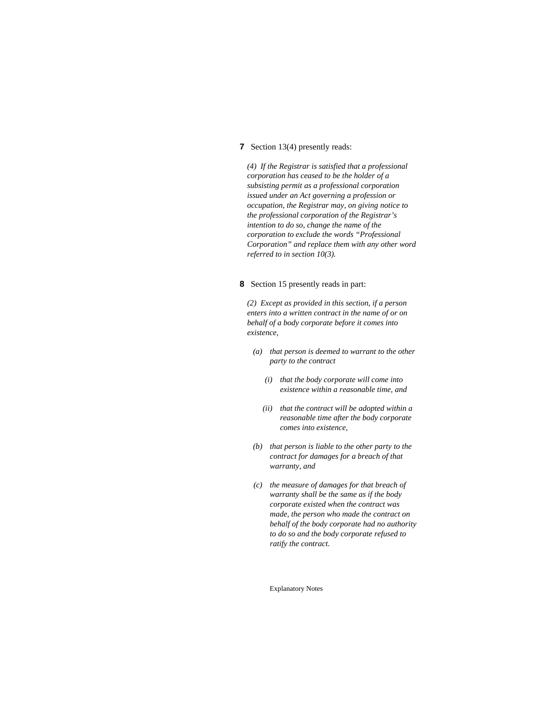## **7** Section 13(4) presently reads:

*(4) If the Registrar is satisfied that a professional corporation has ceased to be the holder of a subsisting permit as a professional corporation issued under an Act governing a profession or occupation, the Registrar may, on giving notice to the professional corporation of the Registrar's intention to do so, change the name of the corporation to exclude the words "Professional Corporation" and replace them with any other word referred to in section 10(3).* 

# **8** Section 15 presently reads in part:

*(2) Except as provided in this section, if a person enters into a written contract in the name of or on behalf of a body corporate before it comes into existence,* 

- *(a) that person is deemed to warrant to the other party to the contract* 
	- *(i) that the body corporate will come into existence within a reasonable time, and*
	- *(ii) that the contract will be adopted within a reasonable time after the body corporate comes into existence,*
- *(b) that person is liable to the other party to the contract for damages for a breach of that warranty, and*
- *(c) the measure of damages for that breach of warranty shall be the same as if the body corporate existed when the contract was made, the person who made the contract on behalf of the body corporate had no authority to do so and the body corporate refused to ratify the contract.*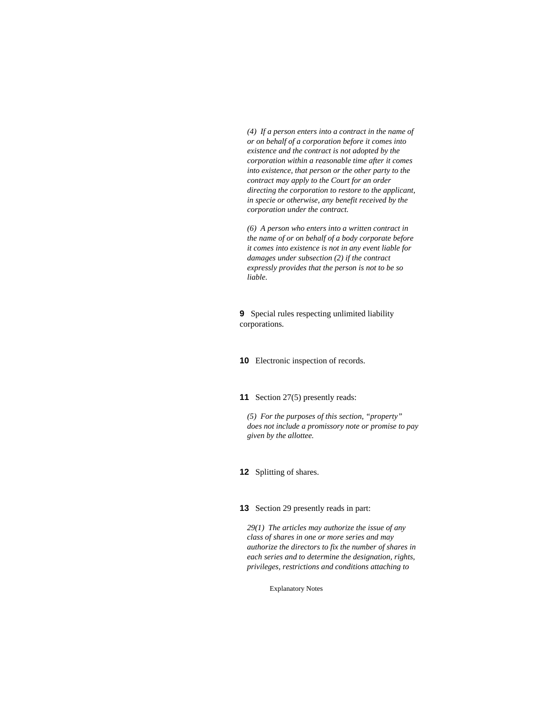*(4) If a person enters into a contract in the name of or on behalf of a corporation before it comes into existence and the contract is not adopted by the corporation within a reasonable time after it comes into existence, that person or the other party to the contract may apply to the Court for an order directing the corporation to restore to the applicant, in specie or otherwise, any benefit received by the corporation under the contract.* 

*(6) A person who enters into a written contract in the name of or on behalf of a body corporate before it comes into existence is not in any event liable for damages under subsection (2) if the contract expressly provides that the person is not to be so liable.* 

**9** Special rules respecting unlimited liability corporations.

**10** Electronic inspection of records.

**11** Section 27(5) presently reads:

*(5) For the purposes of this section, "property" does not include a promissory note or promise to pay given by the allottee.* 

**12** Splitting of shares.

# **13** Section 29 presently reads in part:

*29(1) The articles may authorize the issue of any class of shares in one or more series and may authorize the directors to fix the number of shares in each series and to determine the designation, rights, privileges, restrictions and conditions attaching to*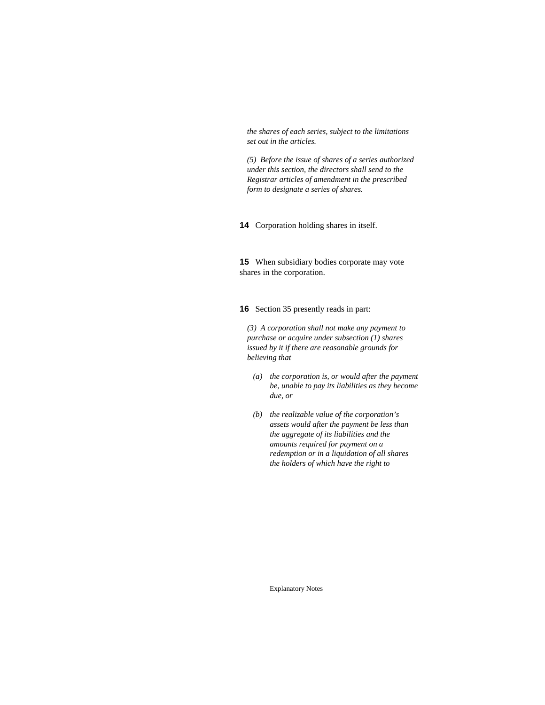*the shares of each series, subject to the limitations set out in the articles.* 

*(5) Before the issue of shares of a series authorized under this section, the directors shall send to the Registrar articles of amendment in the prescribed form to designate a series of shares.* 

**14** Corporation holding shares in itself.

**15** When subsidiary bodies corporate may vote shares in the corporation.

**16** Section 35 presently reads in part:

*(3) A corporation shall not make any payment to purchase or acquire under subsection (1) shares issued by it if there are reasonable grounds for believing that* 

- *(a) the corporation is, or would after the payment be, unable to pay its liabilities as they become due, or*
- *(b) the realizable value of the corporation's assets would after the payment be less than the aggregate of its liabilities and the amounts required for payment on a redemption or in a liquidation of all shares the holders of which have the right to*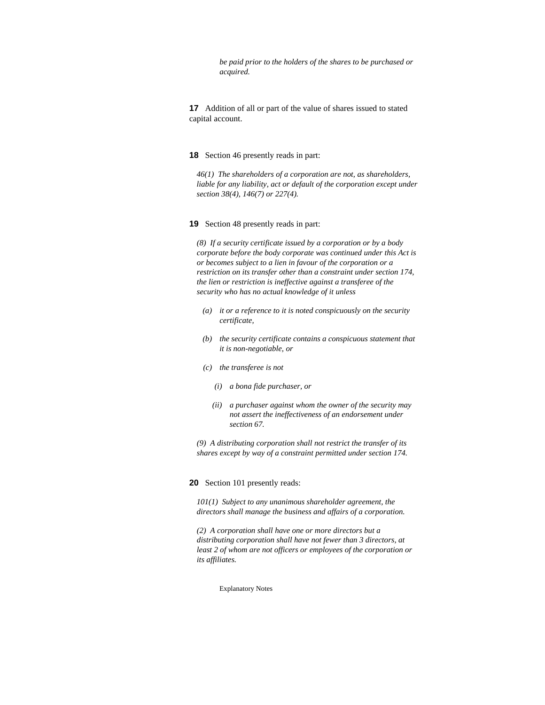*be paid prior to the holders of the shares to be purchased or acquired.* 

**17** Addition of all or part of the value of shares issued to stated capital account.

#### **18** Section 46 presently reads in part:

*46(1) The shareholders of a corporation are not, as shareholders,*  liable for any liability, act or default of the corporation except under *section 38(4), 146(7) or 227(4).* 

#### **19** Section 48 presently reads in part:

*(8) If a security certificate issued by a corporation or by a body corporate before the body corporate was continued under this Act is or becomes subject to a lien in favour of the corporation or a restriction on its transfer other than a constraint under section 174, the lien or restriction is ineffective against a transferee of the security who has no actual knowledge of it unless* 

- *(a) it or a reference to it is noted conspicuously on the security certificate,*
- *(b) the security certificate contains a conspicuous statement that it is non-negotiable, or*
- *(c) the transferee is not* 
	- *(i) a bona fide purchaser, or*
	- *(ii) a purchaser against whom the owner of the security may not assert the ineffectiveness of an endorsement under section 67.*

*(9) A distributing corporation shall not restrict the transfer of its shares except by way of a constraint permitted under section 174.* 

#### **20** Section 101 presently reads:

*101(1) Subject to any unanimous shareholder agreement, the directors shall manage the business and affairs of a corporation.* 

*(2) A corporation shall have one or more directors but a distributing corporation shall have not fewer than 3 directors, at least 2 of whom are not officers or employees of the corporation or its affiliates.*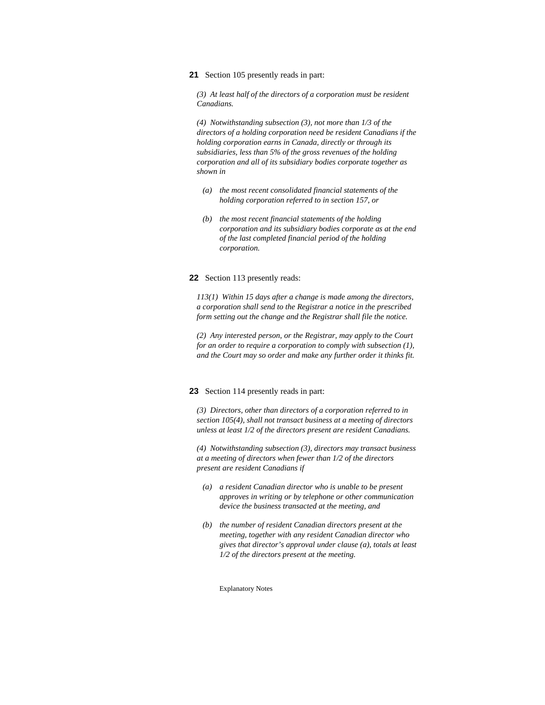**21** Section 105 presently reads in part:

*(3) At least half of the directors of a corporation must be resident Canadians.* 

*(4) Notwithstanding subsection (3), not more than 1/3 of the directors of a holding corporation need be resident Canadians if the holding corporation earns in Canada, directly or through its subsidiaries, less than 5% of the gross revenues of the holding corporation and all of its subsidiary bodies corporate together as shown in* 

- *(a) the most recent consolidated financial statements of the holding corporation referred to in section 157, or*
- *(b) the most recent financial statements of the holding corporation and its subsidiary bodies corporate as at the end of the last completed financial period of the holding corporation.*

## **22** Section 113 presently reads:

*113(1) Within 15 days after a change is made among the directors, a corporation shall send to the Registrar a notice in the prescribed form setting out the change and the Registrar shall file the notice.* 

*(2) Any interested person, or the Registrar, may apply to the Court for an order to require a corporation to comply with subsection (1), and the Court may so order and make any further order it thinks fit.* 

#### **23** Section 114 presently reads in part:

*(3) Directors, other than directors of a corporation referred to in section 105(4), shall not transact business at a meeting of directors unless at least 1/2 of the directors present are resident Canadians.* 

*(4) Notwithstanding subsection (3), directors may transact business at a meeting of directors when fewer than 1/2 of the directors present are resident Canadians if* 

- *(a) a resident Canadian director who is unable to be present approves in writing or by telephone or other communication device the business transacted at the meeting, and*
- *(b) the number of resident Canadian directors present at the meeting, together with any resident Canadian director who gives that director's approval under clause (a), totals at least 1/2 of the directors present at the meeting.*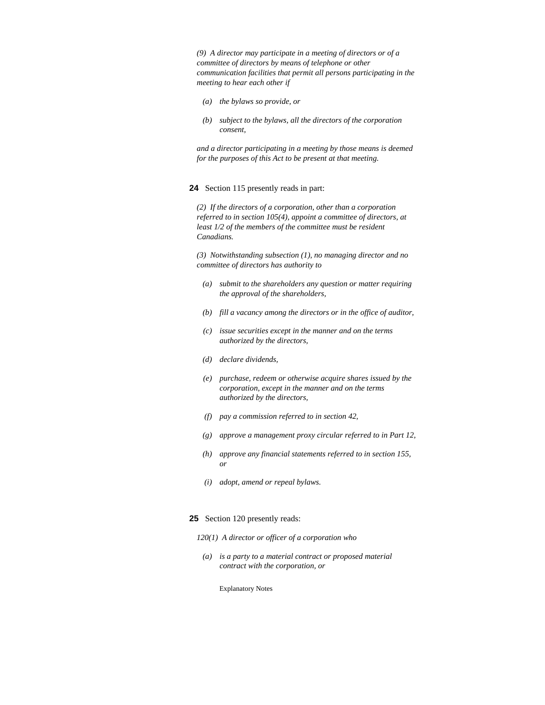*(9) A director may participate in a meeting of directors or of a committee of directors by means of telephone or other communication facilities that permit all persons participating in the meeting to hear each other if* 

- *(a) the bylaws so provide, or*
- *(b) subject to the bylaws, all the directors of the corporation consent,*

*and a director participating in a meeting by those means is deemed for the purposes of this Act to be present at that meeting.* 

#### **24** Section 115 presently reads in part:

*(2) If the directors of a corporation, other than a corporation referred to in section 105(4), appoint a committee of directors, at least 1/2 of the members of the committee must be resident Canadians.* 

*(3) Notwithstanding subsection (1), no managing director and no committee of directors has authority to* 

- *(a) submit to the shareholders any question or matter requiring the approval of the shareholders,*
- *(b) fill a vacancy among the directors or in the office of auditor,*
- *(c) issue securities except in the manner and on the terms authorized by the directors,*
- *(d) declare dividends,*
- *(e) purchase, redeem or otherwise acquire shares issued by the corporation, except in the manner and on the terms authorized by the directors,*
- *(f) pay a commission referred to in section 42,*
- *(g) approve a management proxy circular referred to in Part 12,*
- *(h) approve any financial statements referred to in section 155, or*
- *(i) adopt, amend or repeal bylaws.*

#### **25** Section 120 presently reads:

- *120(1) A director or officer of a corporation who*
- *(a) is a party to a material contract or proposed material contract with the corporation, or*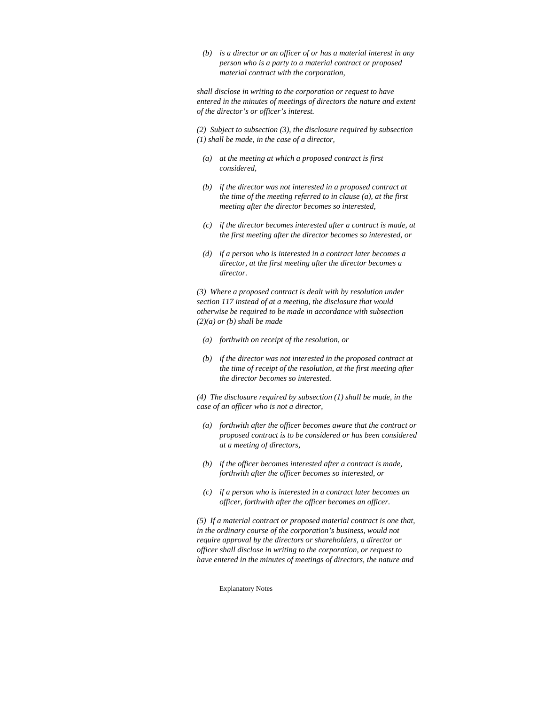*(b) is a director or an officer of or has a material interest in any person who is a party to a material contract or proposed material contract with the corporation,* 

*shall disclose in writing to the corporation or request to have entered in the minutes of meetings of directors the nature and extent of the director's or officer's interest.* 

*(2) Subject to subsection (3), the disclosure required by subsection (1) shall be made, in the case of a director,* 

- *(a) at the meeting at which a proposed contract is first considered,*
- *(b) if the director was not interested in a proposed contract at the time of the meeting referred to in clause (a), at the first meeting after the director becomes so interested,*
- *(c) if the director becomes interested after a contract is made, at the first meeting after the director becomes so interested, or*
- *(d) if a person who is interested in a contract later becomes a director, at the first meeting after the director becomes a director.*

*(3) Where a proposed contract is dealt with by resolution under section 117 instead of at a meeting, the disclosure that would otherwise be required to be made in accordance with subsection (2)(a) or (b) shall be made* 

- *(a) forthwith on receipt of the resolution, or*
- *(b) if the director was not interested in the proposed contract at the time of receipt of the resolution, at the first meeting after the director becomes so interested.*

*(4) The disclosure required by subsection (1) shall be made, in the case of an officer who is not a director,* 

- *(a) forthwith after the officer becomes aware that the contract or proposed contract is to be considered or has been considered at a meeting of directors,*
- *(b) if the officer becomes interested after a contract is made, forthwith after the officer becomes so interested, or*
- *(c) if a person who is interested in a contract later becomes an officer, forthwith after the officer becomes an officer.*

*(5) If a material contract or proposed material contract is one that, in the ordinary course of the corporation's business, would not require approval by the directors or shareholders, a director or officer shall disclose in writing to the corporation, or request to have entered in the minutes of meetings of directors, the nature and*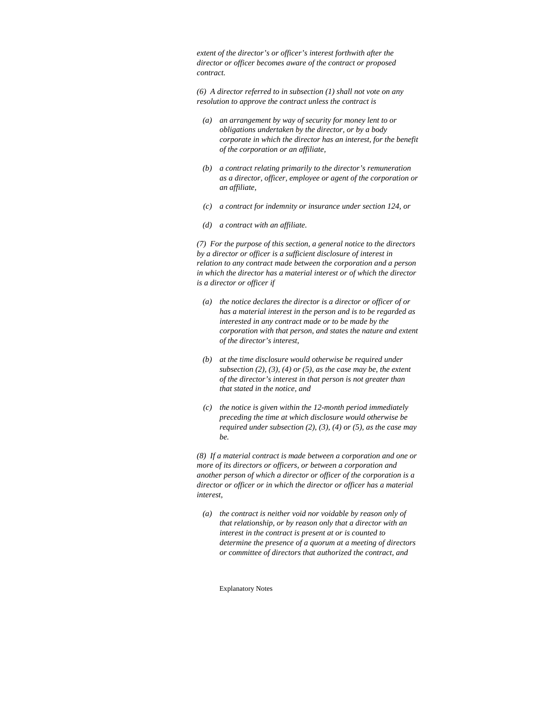*extent of the director's or officer's interest forthwith after the director or officer becomes aware of the contract or proposed contract.* 

*(6) A director referred to in subsection (1) shall not vote on any resolution to approve the contract unless the contract is* 

- *(a) an arrangement by way of security for money lent to or obligations undertaken by the director, or by a body corporate in which the director has an interest, for the benefit of the corporation or an affiliate,*
- *(b) a contract relating primarily to the director's remuneration as a director, officer, employee or agent of the corporation or an affiliate,*
- *(c) a contract for indemnity or insurance under section 124, or*
- *(d) a contract with an affiliate.*

*(7) For the purpose of this section, a general notice to the directors by a director or officer is a sufficient disclosure of interest in relation to any contract made between the corporation and a person in which the director has a material interest or of which the director is a director or officer if* 

- *(a) the notice declares the director is a director or officer of or has a material interest in the person and is to be regarded as interested in any contract made or to be made by the corporation with that person, and states the nature and extent of the director's interest,*
- *(b) at the time disclosure would otherwise be required under subsection (2), (3), (4) or (5), as the case may be, the extent of the director's interest in that person is not greater than that stated in the notice, and*
- *(c) the notice is given within the 12-month period immediately preceding the time at which disclosure would otherwise be required under subsection (2), (3), (4) or (5), as the case may be.*

*(8) If a material contract is made between a corporation and one or more of its directors or officers, or between a corporation and another person of which a director or officer of the corporation is a director or officer or in which the director or officer has a material interest,* 

 *(a) the contract is neither void nor voidable by reason only of that relationship, or by reason only that a director with an interest in the contract is present at or is counted to determine the presence of a quorum at a meeting of directors or committee of directors that authorized the contract, and*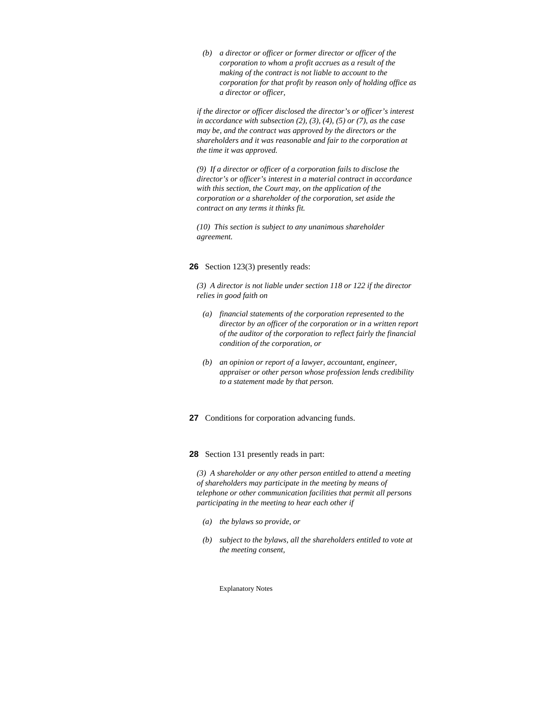*(b) a director or officer or former director or officer of the corporation to whom a profit accrues as a result of the making of the contract is not liable to account to the corporation for that profit by reason only of holding office as a director or officer,* 

*if the director or officer disclosed the director's or officer's interest in accordance with subsection (2), (3), (4), (5) or (7), as the case may be, and the contract was approved by the directors or the shareholders and it was reasonable and fair to the corporation at the time it was approved.* 

*(9) If a director or officer of a corporation fails to disclose the director's or officer's interest in a material contract in accordance with this section, the Court may, on the application of the corporation or a shareholder of the corporation, set aside the contract on any terms it thinks fit.* 

*(10) This section is subject to any unanimous shareholder agreement.* 

# **26** Section 123(3) presently reads:

*(3) A director is not liable under section 118 or 122 if the director relies in good faith on* 

- *(a) financial statements of the corporation represented to the director by an officer of the corporation or in a written report of the auditor of the corporation to reflect fairly the financial condition of the corporation, or*
- *(b) an opinion or report of a lawyer, accountant, engineer, appraiser or other person whose profession lends credibility to a statement made by that person.*

## **27** Conditions for corporation advancing funds.

## **28** Section 131 presently reads in part:

*(3) A shareholder or any other person entitled to attend a meeting of shareholders may participate in the meeting by means of telephone or other communication facilities that permit all persons participating in the meeting to hear each other if* 

- *(a) the bylaws so provide, or*
- *(b) subject to the bylaws, all the shareholders entitled to vote at the meeting consent,*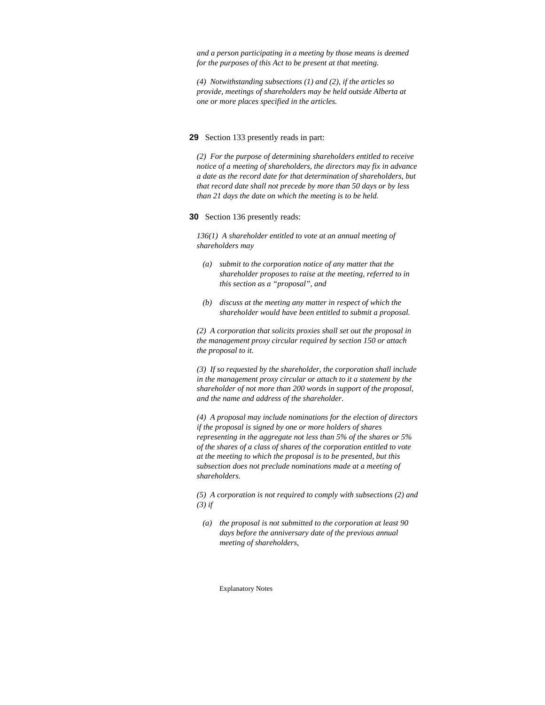*and a person participating in a meeting by those means is deemed for the purposes of this Act to be present at that meeting.* 

*(4) Notwithstanding subsections (1) and (2), if the articles so provide, meetings of shareholders may be held outside Alberta at one or more places specified in the articles.* 

#### **29** Section 133 presently reads in part:

*(2) For the purpose of determining shareholders entitled to receive notice of a meeting of shareholders, the directors may fix in advance a date as the record date for that determination of shareholders, but that record date shall not precede by more than 50 days or by less than 21 days the date on which the meeting is to be held.* 

#### **30** Section 136 presently reads:

*136(1) A shareholder entitled to vote at an annual meeting of shareholders may* 

- *(a) submit to the corporation notice of any matter that the shareholder proposes to raise at the meeting, referred to in this section as a "proposal", and*
- *(b) discuss at the meeting any matter in respect of which the shareholder would have been entitled to submit a proposal.*

*(2) A corporation that solicits proxies shall set out the proposal in the management proxy circular required by section 150 or attach the proposal to it.* 

*(3) If so requested by the shareholder, the corporation shall include in the management proxy circular or attach to it a statement by the shareholder of not more than 200 words in support of the proposal, and the name and address of the shareholder.* 

*(4) A proposal may include nominations for the election of directors if the proposal is signed by one or more holders of shares representing in the aggregate not less than 5% of the shares or 5% of the shares of a class of shares of the corporation entitled to vote at the meeting to which the proposal is to be presented, but this subsection does not preclude nominations made at a meeting of shareholders.* 

*(5) A corporation is not required to comply with subsections (2) and (3) if* 

 *(a) the proposal is not submitted to the corporation at least 90 days before the anniversary date of the previous annual meeting of shareholders,*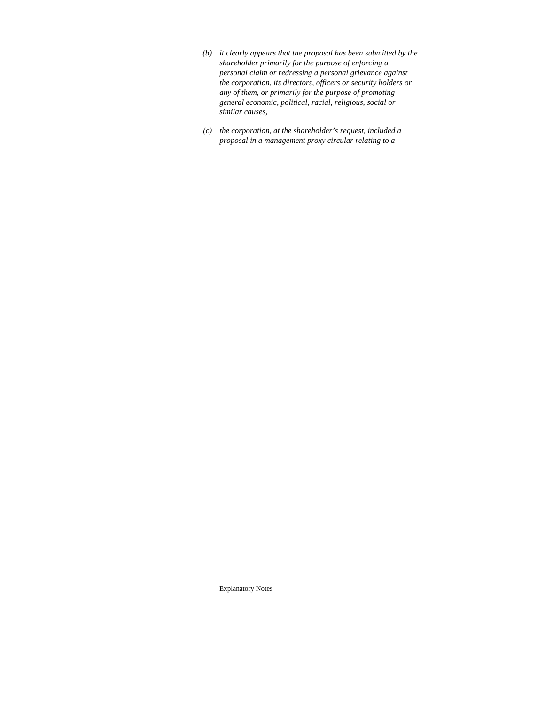- *(b) it clearly appears that the proposal has been submitted by the shareholder primarily for the purpose of enforcing a personal claim or redressing a personal grievance against the corporation, its directors, officers or security holders or any of them, or primarily for the purpose of promoting general economic, political, racial, religious, social or similar causes,*
- *(c) the corporation, at the shareholder's request, included a proposal in a management proxy circular relating to a*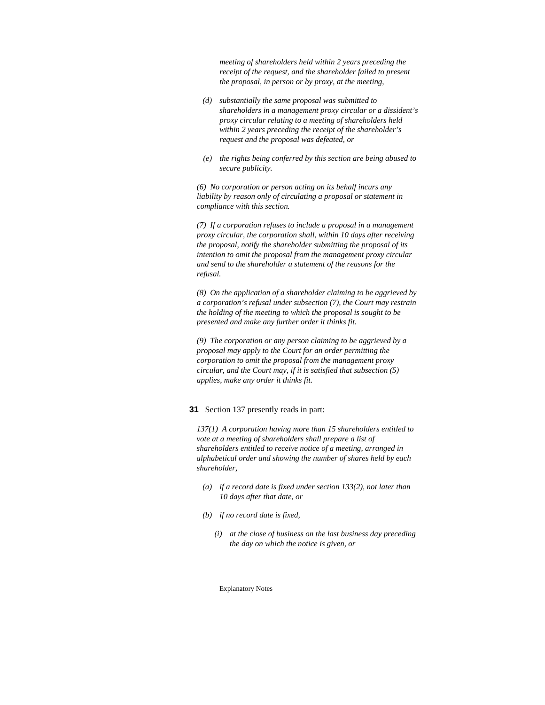*meeting of shareholders held within 2 years preceding the receipt of the request, and the shareholder failed to present the proposal, in person or by proxy, at the meeting,* 

- *(d) substantially the same proposal was submitted to shareholders in a management proxy circular or a dissident's proxy circular relating to a meeting of shareholders held within 2 years preceding the receipt of the shareholder's request and the proposal was defeated, or*
- *(e) the rights being conferred by this section are being abused to secure publicity.*

*(6) No corporation or person acting on its behalf incurs any liability by reason only of circulating a proposal or statement in compliance with this section.* 

*(7) If a corporation refuses to include a proposal in a management proxy circular, the corporation shall, within 10 days after receiving the proposal, notify the shareholder submitting the proposal of its intention to omit the proposal from the management proxy circular and send to the shareholder a statement of the reasons for the refusal.* 

*(8) On the application of a shareholder claiming to be aggrieved by a corporation's refusal under subsection (7), the Court may restrain the holding of the meeting to which the proposal is sought to be presented and make any further order it thinks fit.* 

*(9) The corporation or any person claiming to be aggrieved by a proposal may apply to the Court for an order permitting the corporation to omit the proposal from the management proxy circular, and the Court may, if it is satisfied that subsection (5) applies, make any order it thinks fit.* 

## **31** Section 137 presently reads in part:

*137(1) A corporation having more than 15 shareholders entitled to vote at a meeting of shareholders shall prepare a list of shareholders entitled to receive notice of a meeting, arranged in alphabetical order and showing the number of shares held by each shareholder,* 

- *(a) if a record date is fixed under section 133(2), not later than 10 days after that date, or*
- *(b) if no record date is fixed,* 
	- *(i) at the close of business on the last business day preceding the day on which the notice is given, or*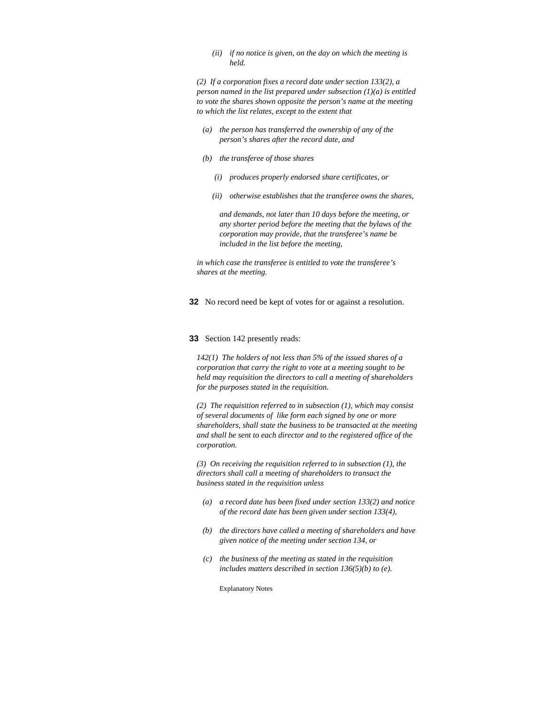*(ii) if no notice is given, on the day on which the meeting is held.* 

*(2) If a corporation fixes a record date under section 133(2), a person named in the list prepared under subsection (1)(a) is entitled to vote the shares shown opposite the person's name at the meeting to which the list relates, except to the extent that* 

- *(a) the person has transferred the ownership of any of the person's shares after the record date, and*
- *(b) the transferee of those shares* 
	- *(i) produces properly endorsed share certificates, or*
	- *(ii) otherwise establishes that the transferee owns the shares,*

 *and demands, not later than 10 days before the meeting, or any shorter period before the meeting that the bylaws of the corporation may provide, that the transferee's name be included in the list before the meeting,* 

*in which case the transferee is entitled to vote the transferee's shares at the meeting.* 

**32** No record need be kept of votes for or against a resolution.

#### **33** Section 142 presently reads:

*142(1) The holders of not less than 5% of the issued shares of a corporation that carry the right to vote at a meeting sought to be held may requisition the directors to call a meeting of shareholders for the purposes stated in the requisition.* 

*(2) The requisition referred to in subsection (1), which may consist of several documents of like form each signed by one or more shareholders, shall state the business to be transacted at the meeting and shall be sent to each director and to the registered office of the corporation.* 

*(3) On receiving the requisition referred to in subsection (1), the directors shall call a meeting of shareholders to transact the business stated in the requisition unless* 

- *(a) a record date has been fixed under section 133(2) and notice of the record date has been given under section 133(4),*
- *(b) the directors have called a meeting of shareholders and have given notice of the meeting under section 134, or*
- *(c) the business of the meeting as stated in the requisition includes matters described in section 136(5)(b) to (e).*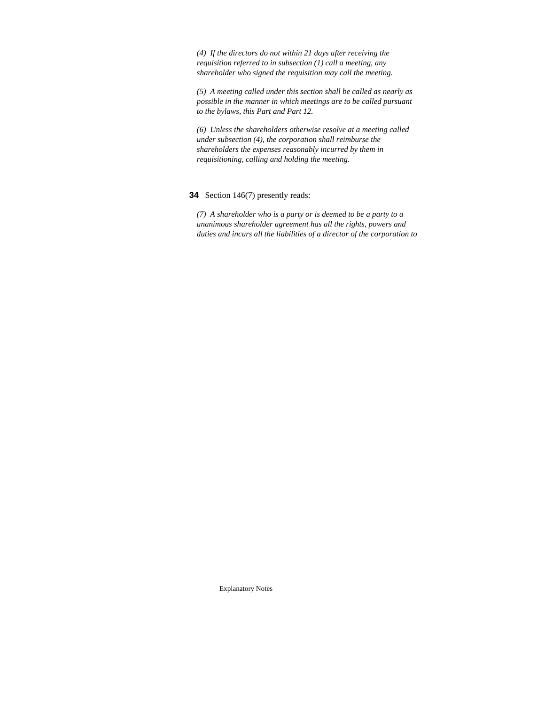*(4) If the directors do not within 21 days after receiving the requisition referred to in subsection (1) call a meeting, any shareholder who signed the requisition may call the meeting.* 

*(5) A meeting called under this section shall be called as nearly as possible in the manner in which meetings are to be called pursuant to the bylaws, this Part and Part 12.* 

*(6) Unless the shareholders otherwise resolve at a meeting called under subsection (4), the corporation shall reimburse the shareholders the expenses reasonably incurred by them in requisitioning, calling and holding the meeting.* 

# **34** Section 146(7) presently reads:

*(7) A shareholder who is a party or is deemed to be a party to a unanimous shareholder agreement has all the rights, powers and duties and incurs all the liabilities of a director of the corporation to*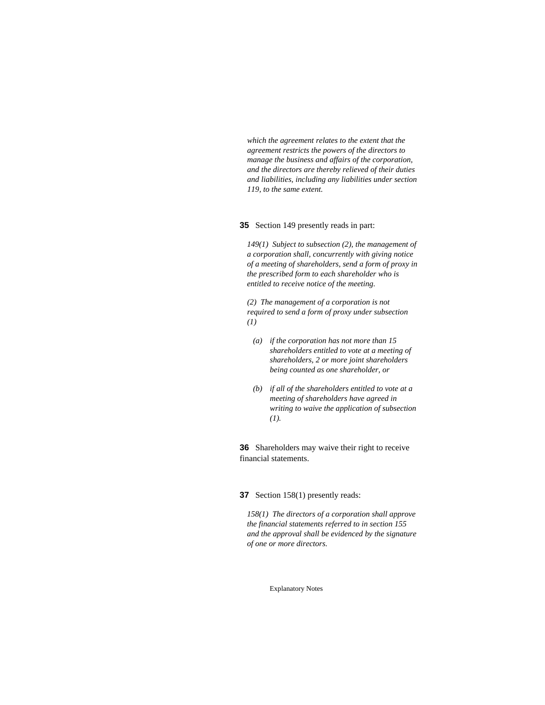*which the agreement relates to the extent that the agreement restricts the powers of the directors to manage the business and affairs of the corporation, and the directors are thereby relieved of their duties and liabilities, including any liabilities under section 119, to the same extent.* 

#### **35** Section 149 presently reads in part:

*149(1) Subject to subsection (2), the management of a corporation shall, concurrently with giving notice of a meeting of shareholders, send a form of proxy in the prescribed form to each shareholder who is entitled to receive notice of the meeting.* 

*(2) The management of a corporation is not required to send a form of proxy under subsection (1)* 

- *(a) if the corporation has not more than 15 shareholders entitled to vote at a meeting of shareholders, 2 or more joint shareholders being counted as one shareholder, or*
- *(b) if all of the shareholders entitled to vote at a meeting of shareholders have agreed in writing to waive the application of subsection (1).*

**36** Shareholders may waive their right to receive financial statements.

#### **37** Section 158(1) presently reads:

*158(1) The directors of a corporation shall approve the financial statements referred to in section 155 and the approval shall be evidenced by the signature of one or more directors.*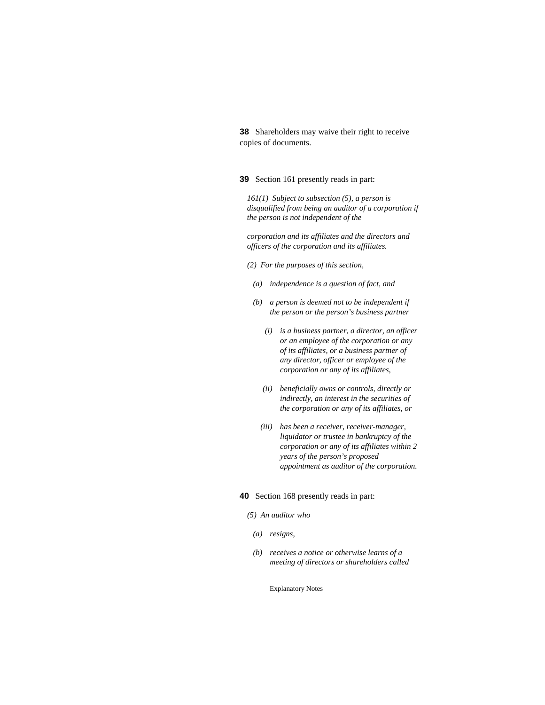**38** Shareholders may waive their right to receive copies of documents.

**39** Section 161 presently reads in part:

*161(1) Subject to subsection (5), a person is disqualified from being an auditor of a corporation if the person is not independent of the* 

*corporation and its affiliates and the directors and officers of the corporation and its affiliates.* 

- *(2) For the purposes of this section,* 
	- *(a) independence is a question of fact, and*
	- *(b) a person is deemed not to be independent if the person or the person's business partner* 
		- *(i) is a business partner, a director, an officer or an employee of the corporation or any of its affiliates, or a business partner of any director, officer or employee of the corporation or any of its affiliates,*
		- *(ii) beneficially owns or controls, directly or indirectly, an interest in the securities of the corporation or any of its affiliates, or*
		- *(iii) has been a receiver, receiver-manager, liquidator or trustee in bankruptcy of the corporation or any of its affiliates within 2 years of the person's proposed appointment as auditor of the corporation.*

# **40** Section 168 presently reads in part:

## *(5) An auditor who*

- *(a) resigns,*
- *(b) receives a notice or otherwise learns of a meeting of directors or shareholders called*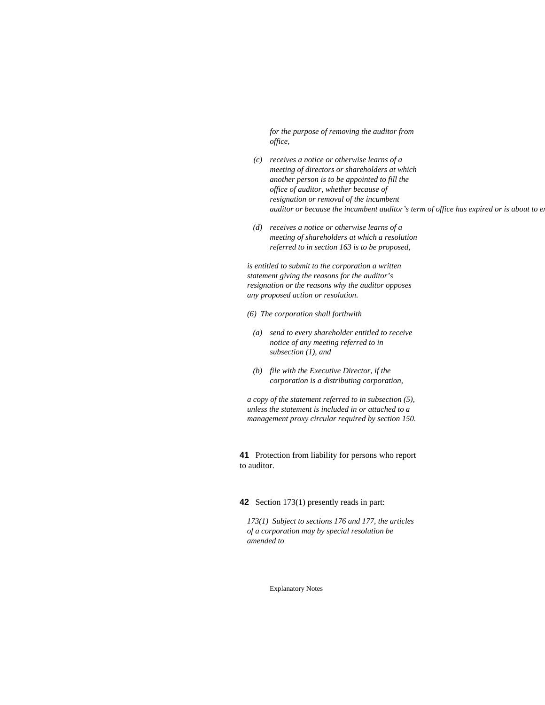*for the purpose of removing the auditor from office,* 

- *(c) receives a notice or otherwise learns of a meeting of directors or shareholders at which another person is to be appointed to fill the office of auditor, whether because of resignation or removal of the incumbent auditor or because the incumbent auditor's term of office has expired or is about to e.*
- *(d) receives a notice or otherwise learns of a meeting of shareholders at which a resolution referred to in section 163 is to be proposed,*

*is entitled to submit to the corporation a written statement giving the reasons for the auditor's resignation or the reasons why the auditor opposes any proposed action or resolution.* 

- *(6) The corporation shall forthwith*
- *(a) send to every shareholder entitled to receive notice of any meeting referred to in subsection (1), and*
- *(b) file with the Executive Director, if the corporation is a distributing corporation,*

*a copy of the statement referred to in subsection (5), unless the statement is included in or attached to a management proxy circular required by section 150.* 

**41** Protection from liability for persons who report to auditor.

## **42** Section 173(1) presently reads in part:

*173(1) Subject to sections 176 and 177, the articles of a corporation may by special resolution be amended to*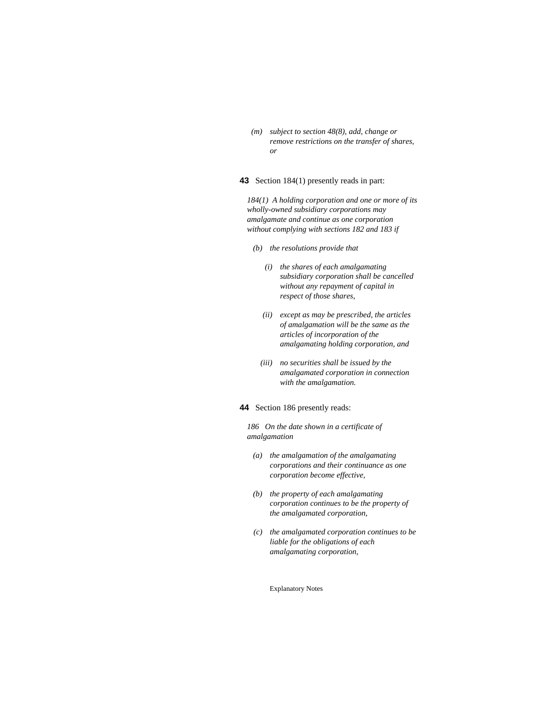*(m) subject to section 48(8), add, change or remove restrictions on the transfer of shares, or* 

## **43** Section 184(1) presently reads in part:

*184(1) A holding corporation and one or more of its wholly-owned subsidiary corporations may amalgamate and continue as one corporation without complying with sections 182 and 183 if* 

- *(b) the resolutions provide that* 
	- *(i) the shares of each amalgamating subsidiary corporation shall be cancelled without any repayment of capital in respect of those shares,*
	- *(ii) except as may be prescribed, the articles of amalgamation will be the same as the articles of incorporation of the amalgamating holding corporation, and*
	- *(iii) no securities shall be issued by the amalgamated corporation in connection with the amalgamation.*

## **44** Section 186 presently reads:

*186 On the date shown in a certificate of amalgamation* 

- *(a) the amalgamation of the amalgamating corporations and their continuance as one corporation become effective,*
- *(b) the property of each amalgamating corporation continues to be the property of the amalgamated corporation,*
- *(c) the amalgamated corporation continues to be liable for the obligations of each amalgamating corporation,*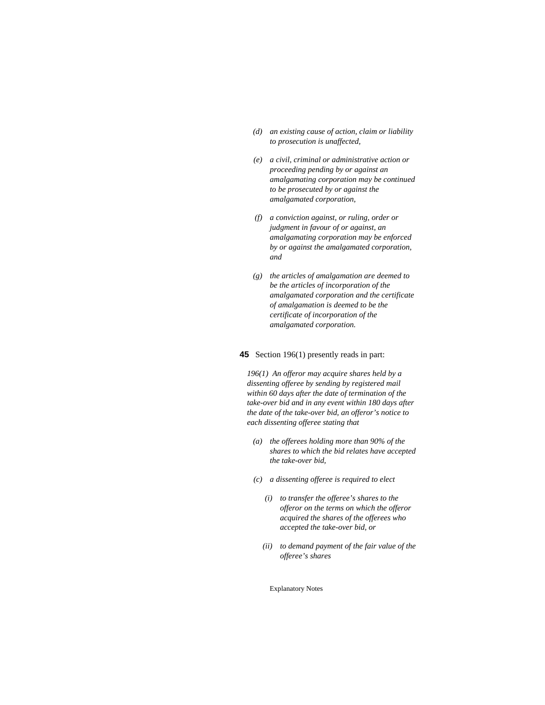- *(d) an existing cause of action, claim or liability to prosecution is unaffected,*
- *(e) a civil, criminal or administrative action or proceeding pending by or against an amalgamating corporation may be continued to be prosecuted by or against the amalgamated corporation,*
- *(f) a conviction against, or ruling, order or judgment in favour of or against, an amalgamating corporation may be enforced by or against the amalgamated corporation, and*
- *(g) the articles of amalgamation are deemed to be the articles of incorporation of the amalgamated corporation and the certificate of amalgamation is deemed to be the certificate of incorporation of the amalgamated corporation.*

### **45** Section 196(1) presently reads in part:

*196(1) An offeror may acquire shares held by a dissenting offeree by sending by registered mail within 60 days after the date of termination of the take-over bid and in any event within 180 days after the date of the take-over bid, an offeror's notice to each dissenting offeree stating that* 

- *(a) the offerees holding more than 90% of the shares to which the bid relates have accepted the take-over bid,*
- *(c) a dissenting offeree is required to elect* 
	- *(i) to transfer the offeree's shares to the offeror on the terms on which the offeror acquired the shares of the offerees who accepted the take-over bid, or*
	- *(ii) to demand payment of the fair value of the offeree's shares*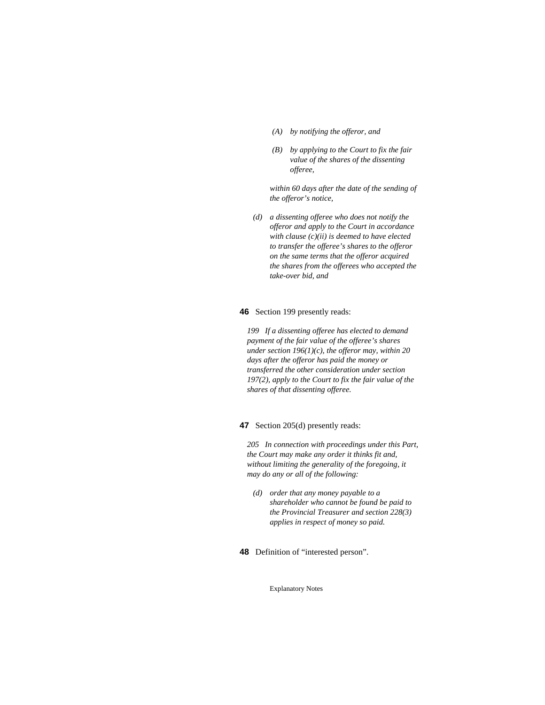- *(A) by notifying the offeror, and*
- *(B) by applying to the Court to fix the fair value of the shares of the dissenting offeree,*

 *within 60 days after the date of the sending of the offeror's notice,* 

 *(d) a dissenting offeree who does not notify the offeror and apply to the Court in accordance with clause (c)(ii) is deemed to have elected to transfer the offeree's shares to the offeror on the same terms that the offeror acquired the shares from the offerees who accepted the take-over bid, and* 

## **46** Section 199 presently reads:

*199 If a dissenting offeree has elected to demand payment of the fair value of the offeree's shares under section 196(1)(c), the offeror may, within 20 days after the offeror has paid the money or transferred the other consideration under section 197(2), apply to the Court to fix the fair value of the shares of that dissenting offeree.* 

# **47** Section 205(d) presently reads:

*205 In connection with proceedings under this Part, the Court may make any order it thinks fit and, without limiting the generality of the foregoing, it may do any or all of the following:* 

 *(d) order that any money payable to a shareholder who cannot be found be paid to the Provincial Treasurer and section 228(3) applies in respect of money so paid.* 

**48** Definition of "interested person".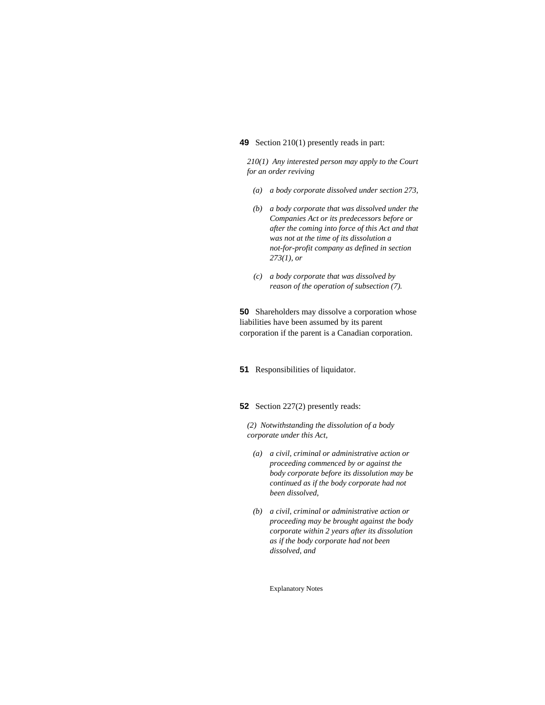# **49** Section 210(1) presently reads in part:

*210(1) Any interested person may apply to the Court for an order reviving* 

- *(a) a body corporate dissolved under section 273,*
- *(b) a body corporate that was dissolved under the Companies Act or its predecessors before or after the coming into force of this Act and that was not at the time of its dissolution a not-for-profit company as defined in section 273(1), or*
- *(c) a body corporate that was dissolved by reason of the operation of subsection (7).*

**50** Shareholders may dissolve a corporation whose liabilities have been assumed by its parent corporation if the parent is a Canadian corporation.

**51** Responsibilities of liquidator.

**52** Section 227(2) presently reads:

*(2) Notwithstanding the dissolution of a body corporate under this Act,* 

- *(a) a civil, criminal or administrative action or proceeding commenced by or against the body corporate before its dissolution may be continued as if the body corporate had not been dissolved,*
- *(b) a civil, criminal or administrative action or proceeding may be brought against the body corporate within 2 years after its dissolution as if the body corporate had not been dissolved, and*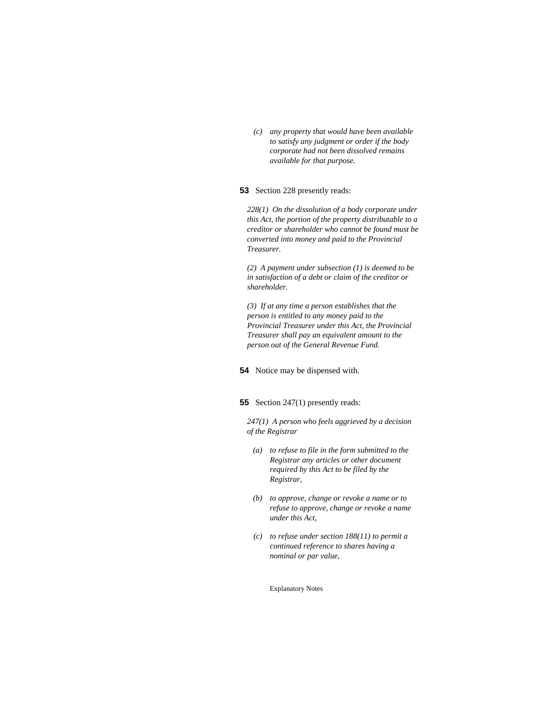*(c) any property that would have been available to satisfy any judgment or order if the body corporate had not been dissolved remains available for that purpose.* 

**53** Section 228 presently reads:

*228(1) On the dissolution of a body corporate under this Act, the portion of the property distributable to a creditor or shareholder who cannot be found must be converted into money and paid to the Provincial Treasurer.* 

*(2) A payment under subsection (1) is deemed to be in satisfaction of a debt or claim of the creditor or shareholder.* 

*(3) If at any time a person establishes that the person is entitled to any money paid to the Provincial Treasurer under this Act, the Provincial Treasurer shall pay an equivalent amount to the person out of the General Revenue Fund.* 

**54** Notice may be dispensed with.

# **55** Section 247(1) presently reads:

*247(1) A person who feels aggrieved by a decision of the Registrar* 

- *(a) to refuse to file in the form submitted to the Registrar any articles or other document required by this Act to be filed by the Registrar,*
- *(b) to approve, change or revoke a name or to refuse to approve, change or revoke a name under this Act,*
- *(c) to refuse under section 188(11) to permit a continued reference to shares having a nominal or par value,*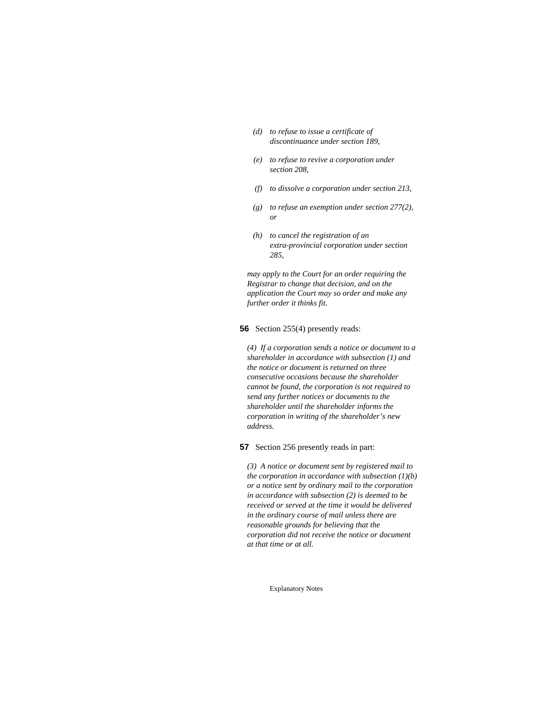- *(d) to refuse to issue a certificate of discontinuance under section 189,*
- *(e) to refuse to revive a corporation under section 208,*
- *(f) to dissolve a corporation under section 213,*
- *(g) to refuse an exemption under section 277(2), or*
- *(h) to cancel the registration of an extra-provincial corporation under section 285,*

*may apply to the Court for an order requiring the Registrar to change that decision, and on the application the Court may so order and make any further order it thinks fit.* 

**56** Section 255(4) presently reads:

*(4) If a corporation sends a notice or document to a shareholder in accordance with subsection (1) and the notice or document is returned on three consecutive occasions because the shareholder cannot be found, the corporation is not required to send any further notices or documents to the shareholder until the shareholder informs the corporation in writing of the shareholder's new address.* 

**57** Section 256 presently reads in part:

*(3) A notice or document sent by registered mail to the corporation in accordance with subsection (1)(b) or a notice sent by ordinary mail to the corporation in accordance with subsection (2) is deemed to be received or served at the time it would be delivered in the ordinary course of mail unless there are reasonable grounds for believing that the corporation did not receive the notice or document at that time or at all.*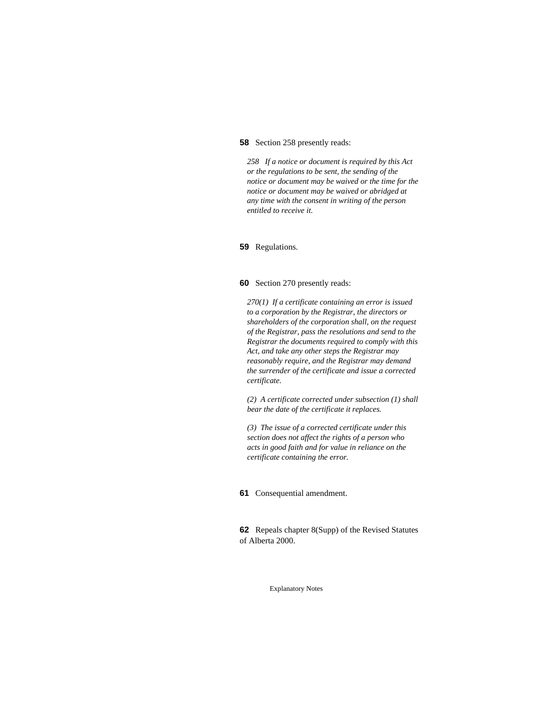#### **58** Section 258 presently reads:

*258 If a notice or document is required by this Act or the regulations to be sent, the sending of the notice or document may be waived or the time for the notice or document may be waived or abridged at any time with the consent in writing of the person entitled to receive it.* 

#### **59** Regulations.

## **60** Section 270 presently reads:

*270(1) If a certificate containing an error is issued to a corporation by the Registrar, the directors or shareholders of the corporation shall, on the request of the Registrar, pass the resolutions and send to the Registrar the documents required to comply with this Act, and take any other steps the Registrar may reasonably require, and the Registrar may demand the surrender of the certificate and issue a corrected certificate.* 

*(2) A certificate corrected under subsection (1) shall bear the date of the certificate it replaces.* 

*(3) The issue of a corrected certificate under this section does not affect the rights of a person who acts in good faith and for value in reliance on the certificate containing the error.* 

# **61** Consequential amendment.

**62** Repeals chapter 8(Supp) of the Revised Statutes of Alberta 2000.